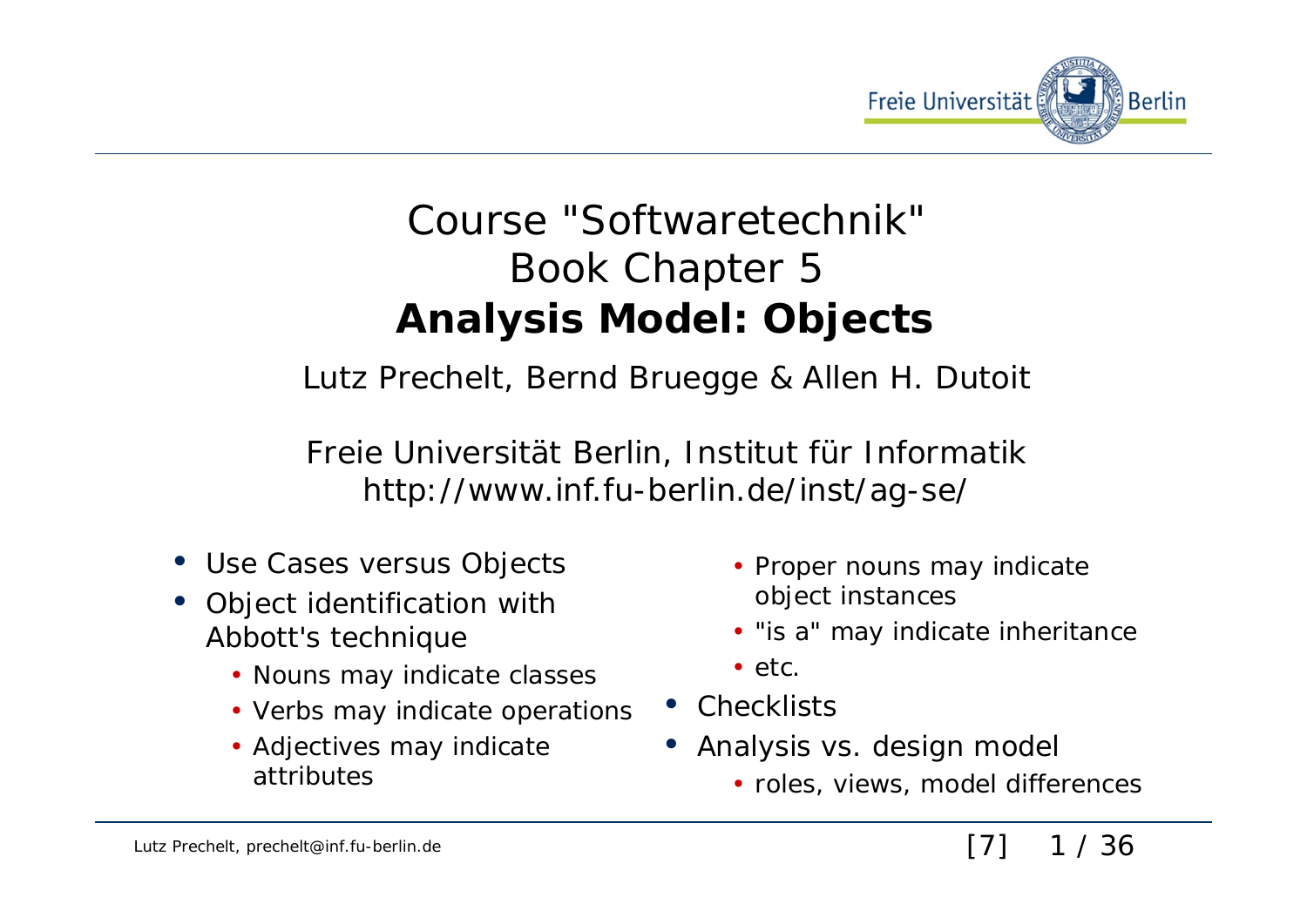

# Course "Softwaretechnik"Book Chapter 5 **Analysis Model: Objects**

Lutz Prechelt, Bernd Bruegge & Allen H. Dutoit

Freie Universität Berlin, Institut für Informatik http://www.inf.fu-berlin.de/inst/ag-se/

- $\bullet$ Use Cases versus Objects
- • Object identification with Abbott's technique
	- Nouns may indicate classes
	- Verbs may indicate operations
	- Adjectives may indicate attributes
- Proper nouns may indicate object instances
- "is a" may indicate inheritance
- etc.
- Checklists
- Analysis vs. design model
	- roles, views, model differences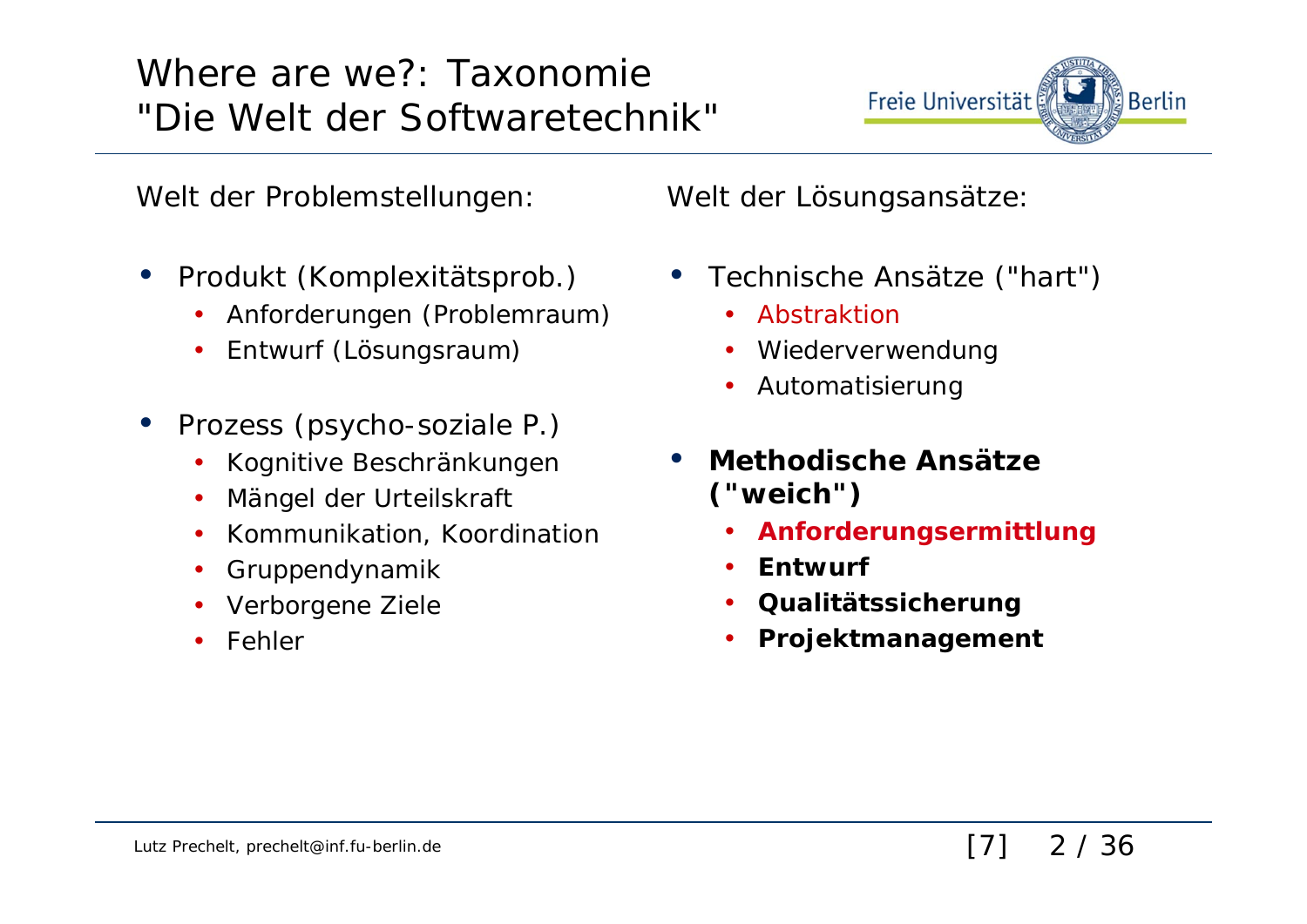# Where are we?: Taxonomie "Die Welt der Softwaretechnik"

Welt der Problemstellungen:

- • Produkt (Komplexitätsprob.)
	- Anforderungen (Problemraum)
	- Entwurf (Lösungsraum)
- • Prozess (psycho-soziale P.)
	- Kognitive Beschränkungen
	- Mängel der Urteilskraft
	- Kommunikation, Koordination
	- Gruppendynamik
	- Verborgene Ziele
	- Fehler

Welt der Lösungsansätze:

- Technische Ansätze ("hart")
	- *Abstraktion*
	- $\bullet$ Wiederverwendung
	- •Automatisierung
- • **Methodische Ansätze ("weich")**
	- •*Anforderungsermittlung*
	- •**Entwurf**
	- •**Qualitätssicherung**
	- •**Projektmanagement**



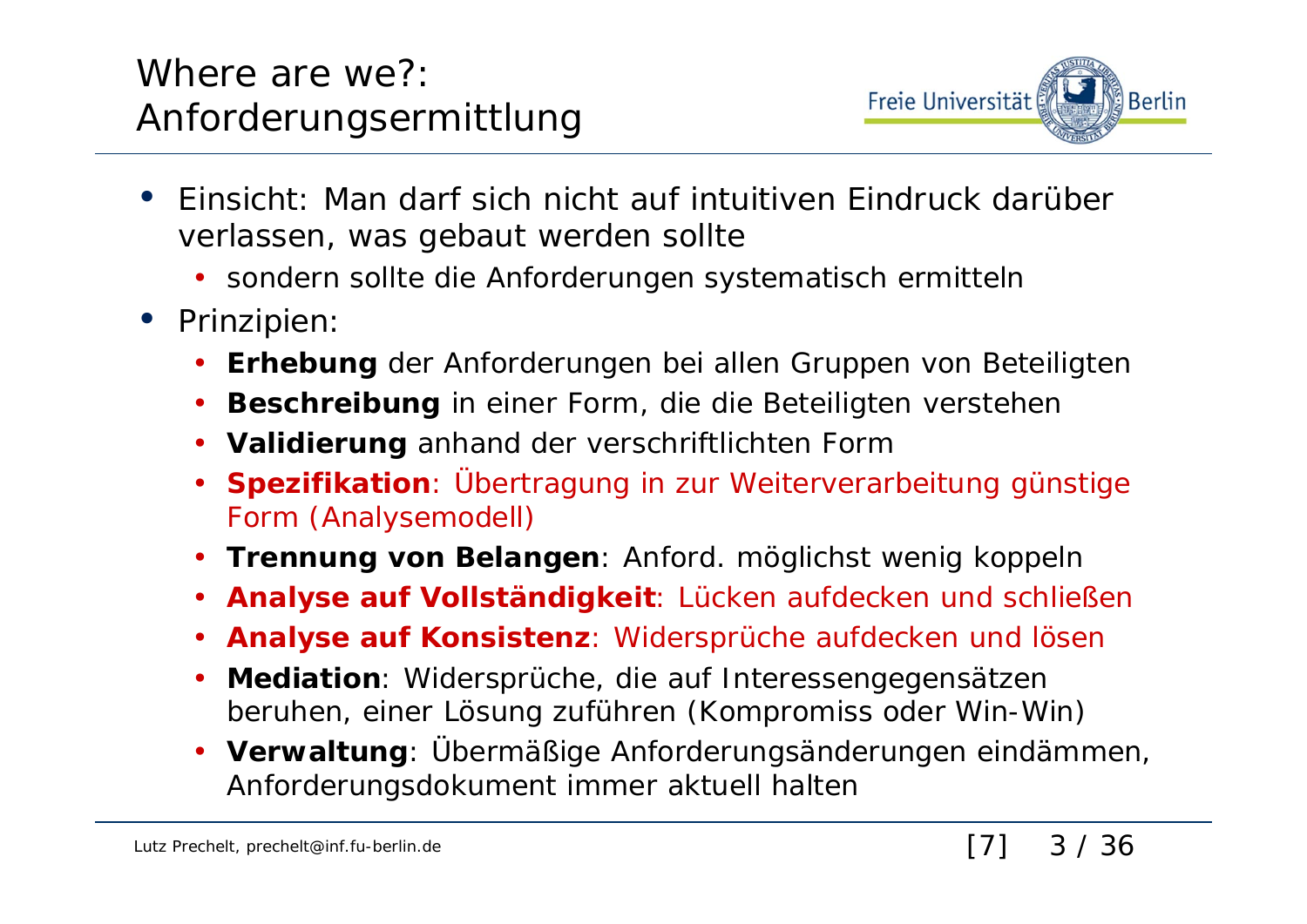

- • Einsicht: Man darf sich nicht auf intuitiven Eindruck darüber verlassen, was gebaut werden sollte
	- sondern sollte die Anforderungen systematisch ermittelr
- • Prinzipien:
	- **Erhebung** der Anforderungen bei allen Gruppen von Beteiligten
	- **Beschreibung** in einer Form, die die Beteiligten verstehen
	- **Validierung** anhand der verschriftlichten Form
	- *Spezifikation: Übertragung in zur Weiterverarbeitung günstige Form (Analysemodell)*
	- **Trennung von Belangen**: Anford. möglichst wenig koppeln
	- *Analyse auf Vollständigkeit: Lücken aufdecken und schließen*
	- *Analyse auf Konsistenz: Widersprüche aufdecken und lösen*
	- • **Mediation**: Widersprüche, die auf Interessengegensätzen beruhen, einer Lösung zuführen (Kompromiss oder Win-Win)
	- **Verwaltung**: Übermäßige Anforderungsänderungen eindämmen, Anforderungsdokument immer aktuell halten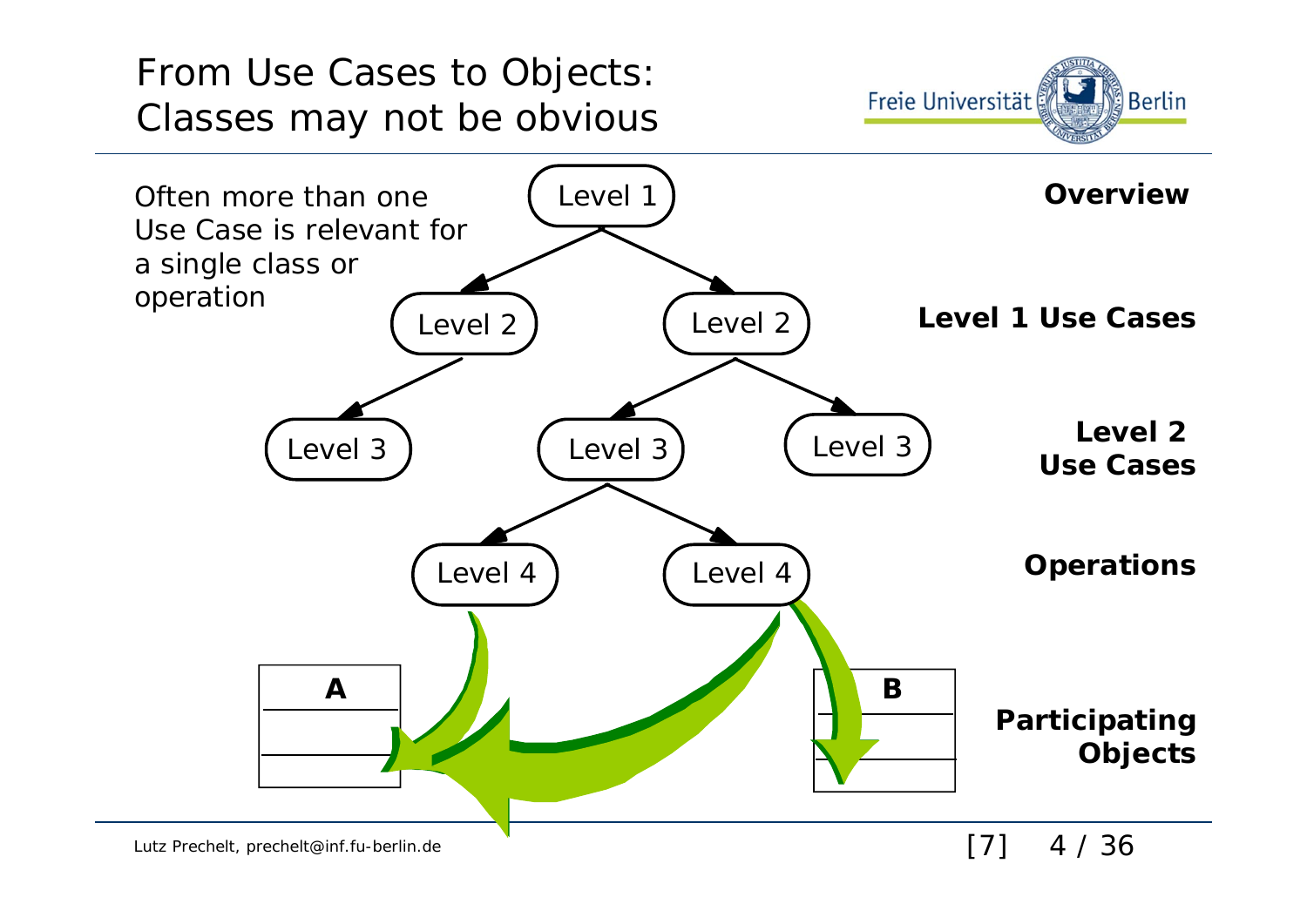# From Use Cases to Objects: Classes may not be obvious



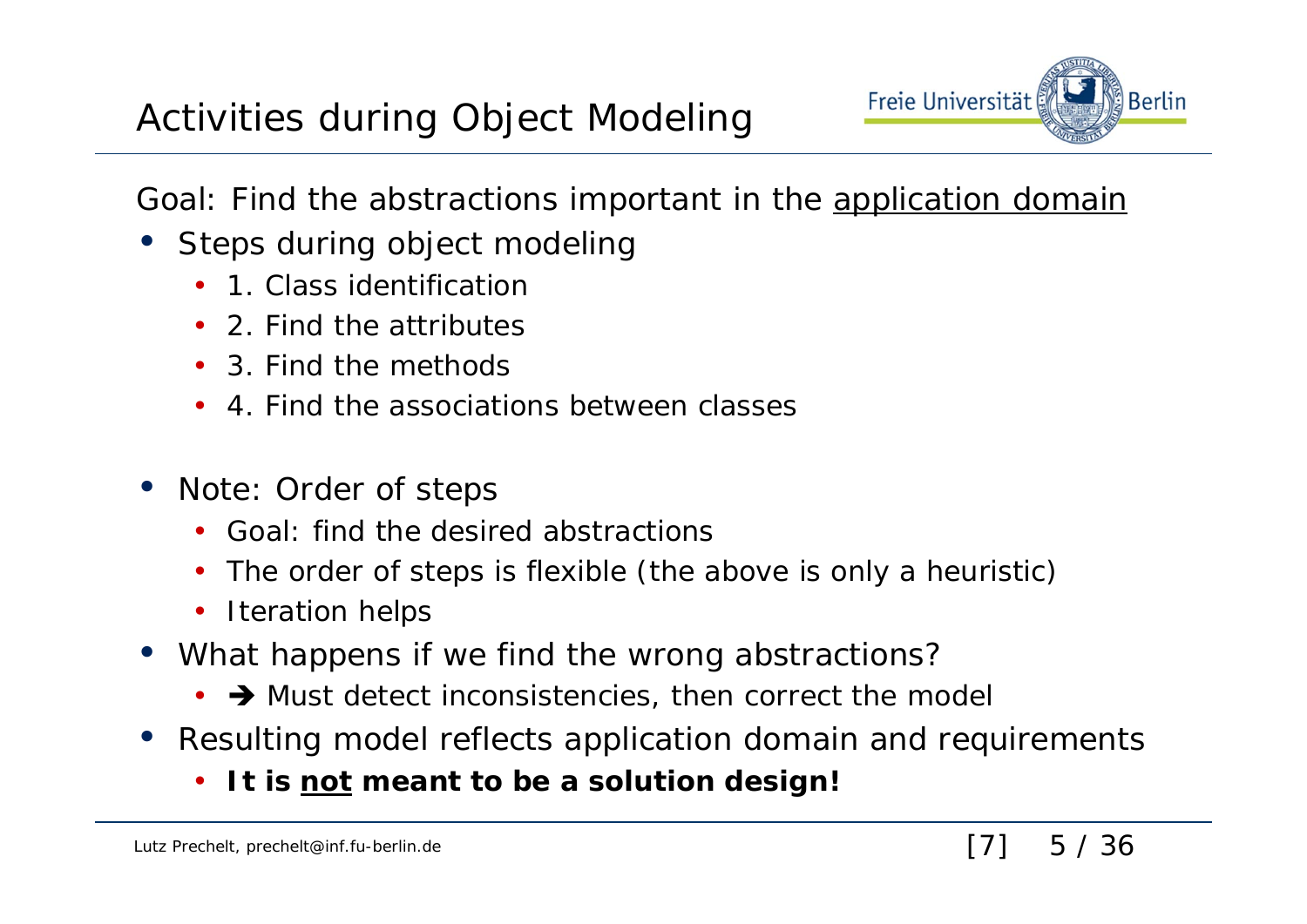

Goal: Find the abstractions important in the application domain

- Steps during object modeling
	- 1. Class identification
	- 2. Find the attributes
	- 3. Find the methods
	- 4. Find the associations between classes
- Note: Order of steps
	- •Goal: find the desired abstractions
	- The order of steps is flexible (the above is only a heuristic)
	- Iteration helps
- What happens if we find the wrong abstractions?
	- $\bullet$   $\rightarrow$  Must detect inconsistencies, then correct the model
- • Resulting model reflects application domain and requirements
	- **It is not meant to be a solution design!**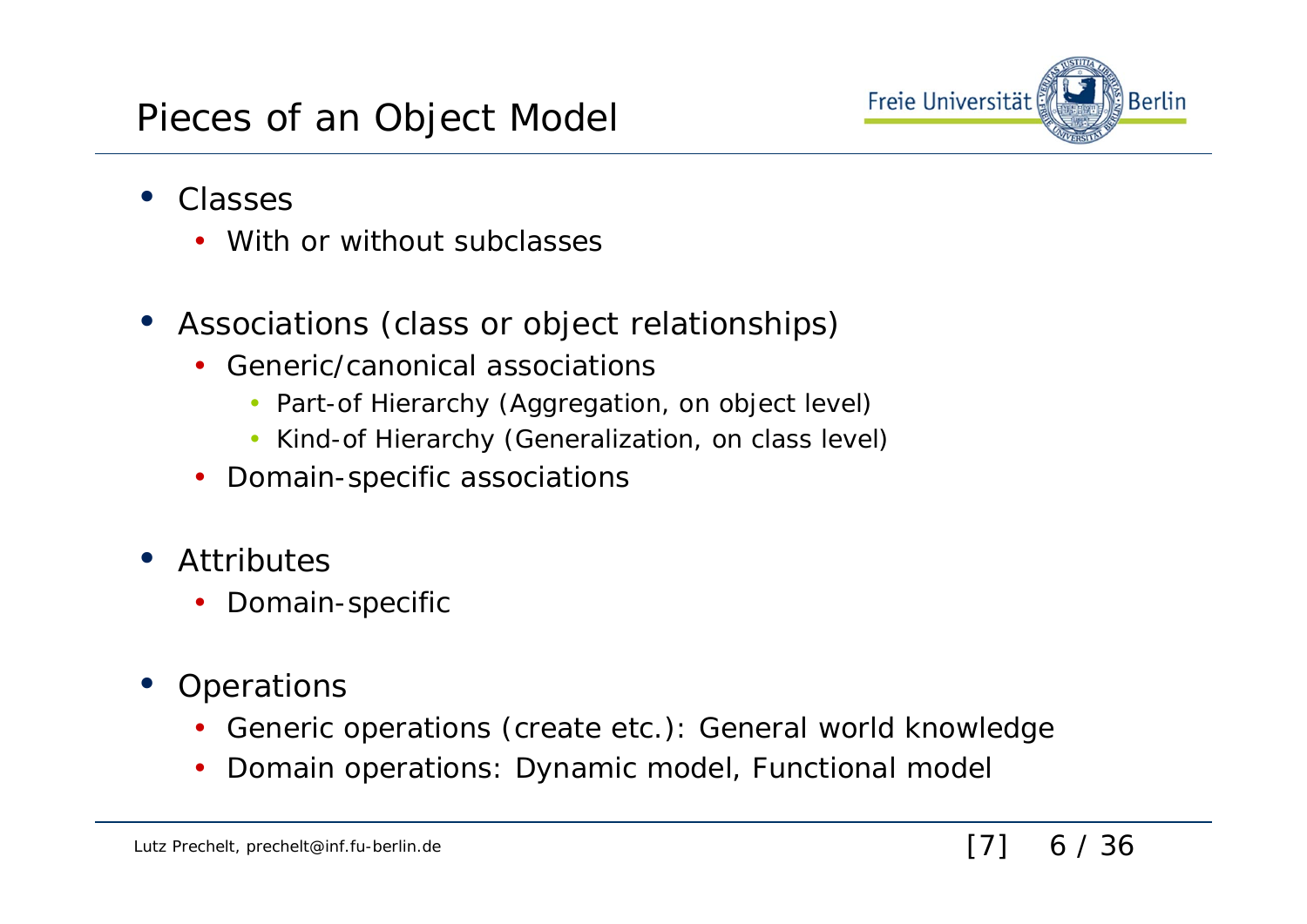

- • Classes
	- With or without subclasses
- • Associations (class or object relationships)
	- Generic/canonical associations
		- Part-of Hierarchy (Aggregation, on object level)
		- •Kind-of Hierarchy (Generalization, on class level)
	- Domain-specific associations
- •**Attributes** 
	- •Domain-specific
- •**Operations** 
	- Generic operations (create etc.): General world knowledge
	- Domain operations: Dynamic model, Functional model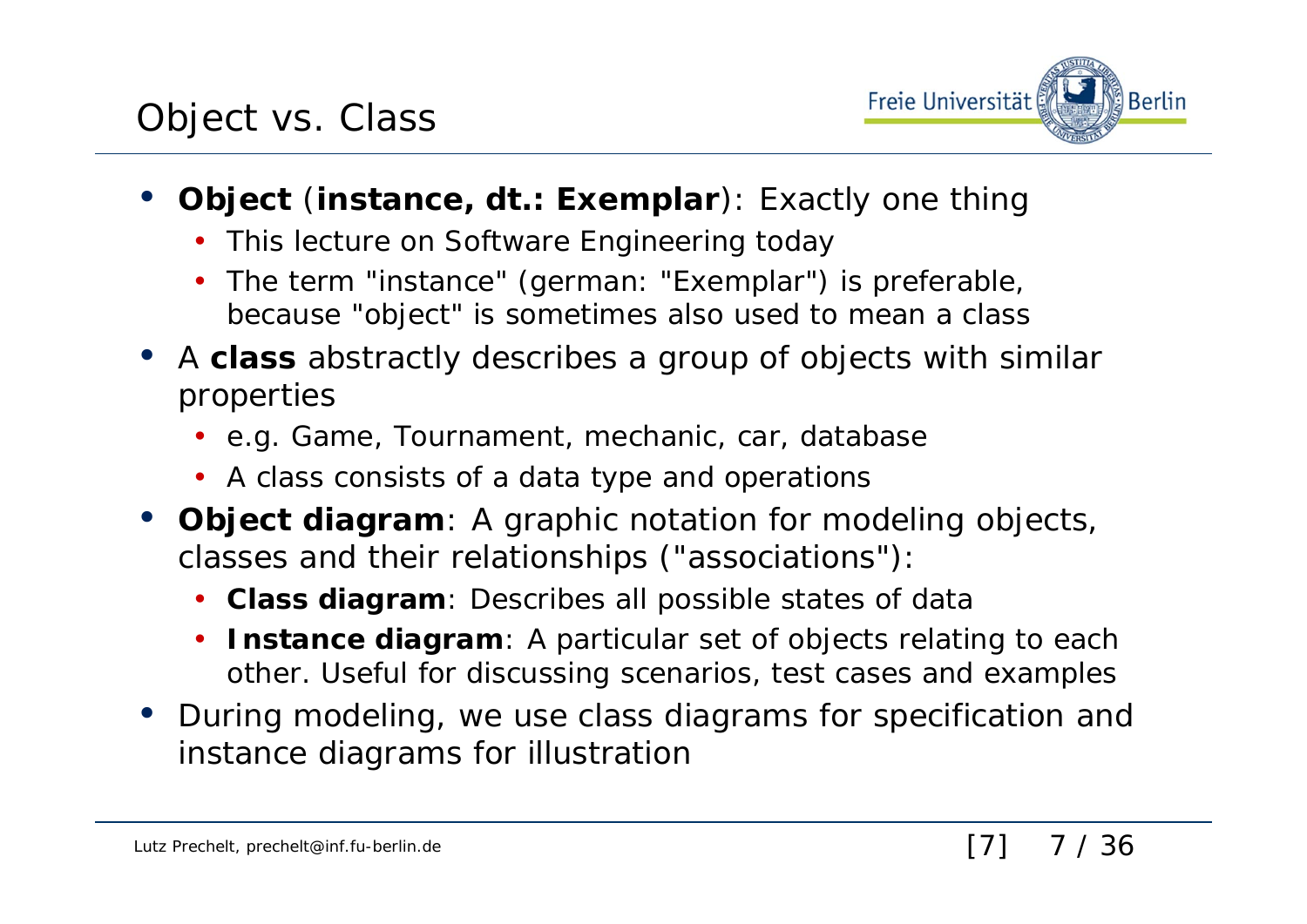

- • **Object** (**instance, dt.:** *Exemplar*): Exactly one thing
	- This lecture on Software Engineering today
	- The term "instance" (german: "Exemplar") is preferable, because "object" is sometimes also used to mean a class
- • A **class** abstractly describes a group of objects with similar properties
	- e.g. Game, Tournament, mechanic, car, database
	- A class consists of a data type and operations
- **Object diagram**: A graphic notation for modeling objects, classes and their relationships ("associations"):
	- **Class diagram**: Describes all possible states of data
	- **Instance diagram**: A particular set of objects relating to each other. Useful for discussing scenarios, test cases and examples
- • During modeling, we use class diagrams for *specification* and instance diagrams for *illustration*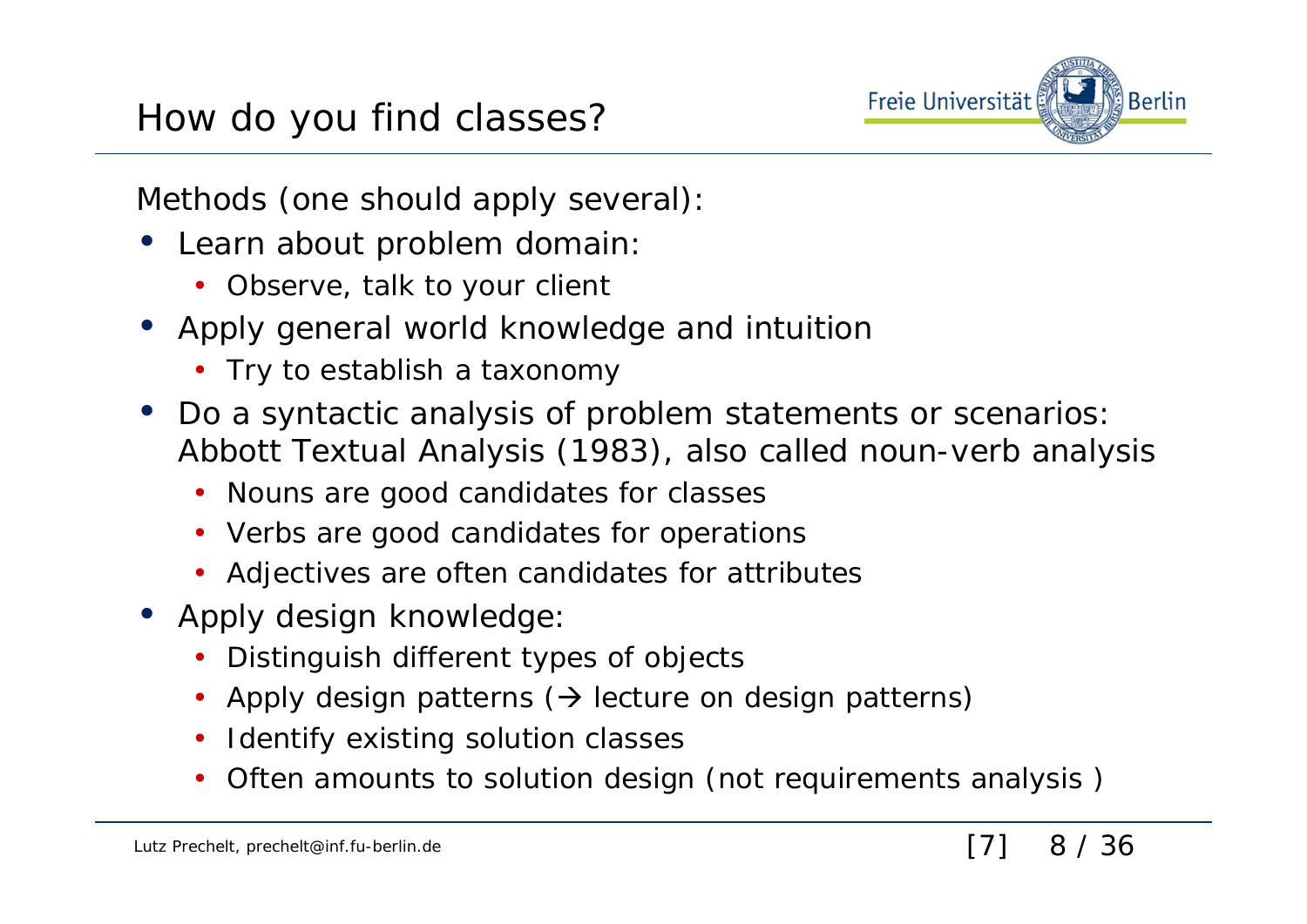

Methods (one should apply several):

- Learn about problem domain:
	- Observe, talk to your client
- Apply general world knowledge and intuition
	- Try to establish a taxonomy
- • Do a syntactic analysis of problem statements or scenarios: Abbott Textual Analysis (1983), also called noun-verb analysis
	- Nouns are good candidates for classes
	- Verbs are good candidates for operations
	- Adjectives are often candidates for attributes
- • Apply design knowledge:
	- Distinguish different types of objects
	- Apply design patterns  $($   $\rightarrow$  lecture on design patterns)
	- Identify existing solution classes
	- Often amounts to solution design (not requirements analysis )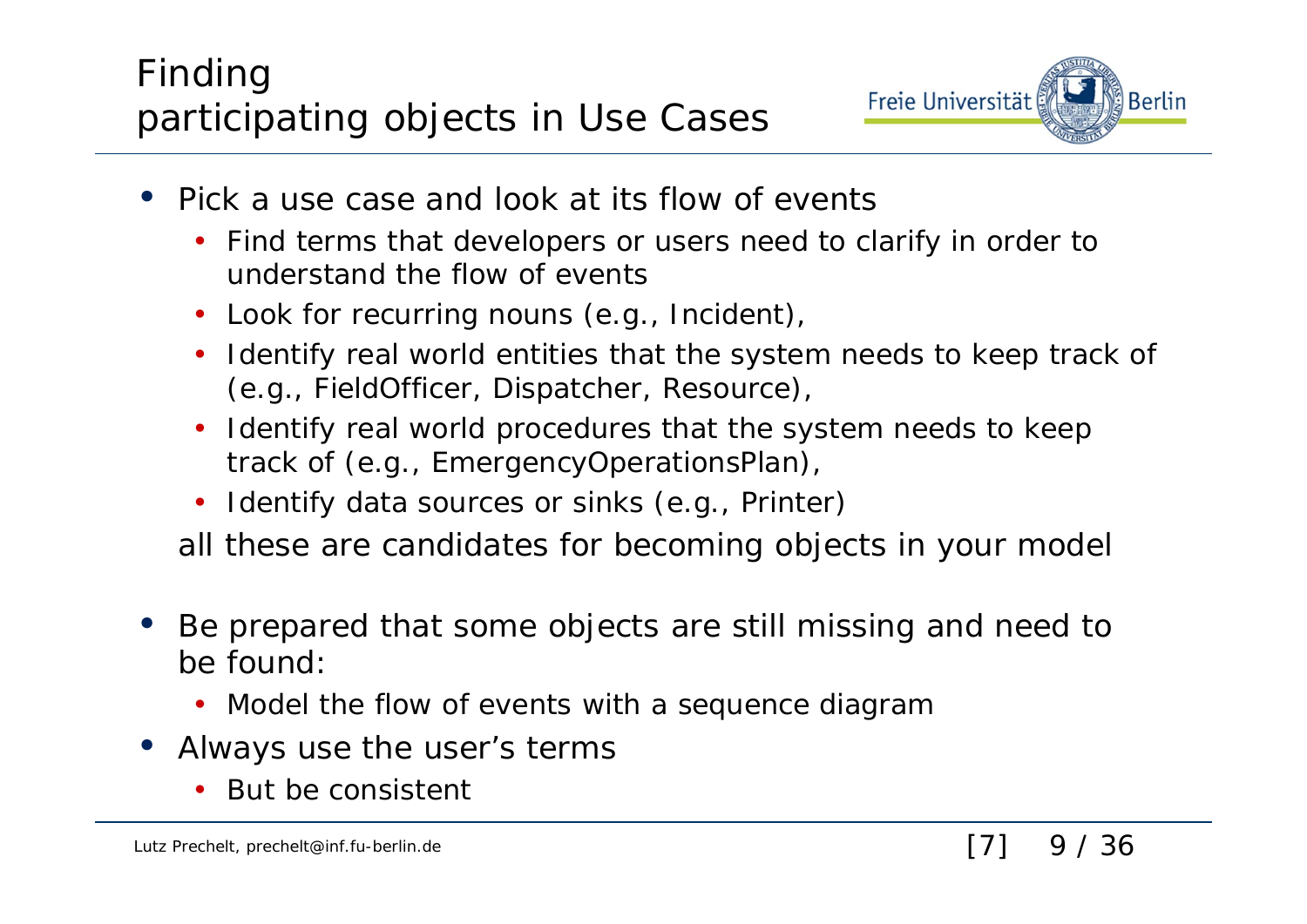

- Pick a use case and look at its flow of events
	- Find terms that developers or users need to clarify in order to understand the flow of events
	- Look for recurring nouns (e.g., Incident)
	- Identify real world entities that the system needs to keep track of (e.g., FieldOfficer, Dispatcher, Resource),
	- Identify real world procedures that the system needs to keep track of (e.g., EmergencyOperationsPlan),
	- Identify data sources or sinks (e.g., Printer)
	- all these are candidates for becoming objects in your model
- • Be prepared that some objects are still missing and need to be found:
	- Model the flow of events with a sequence diagram
- • Always use the user's terms
	- •But be consistent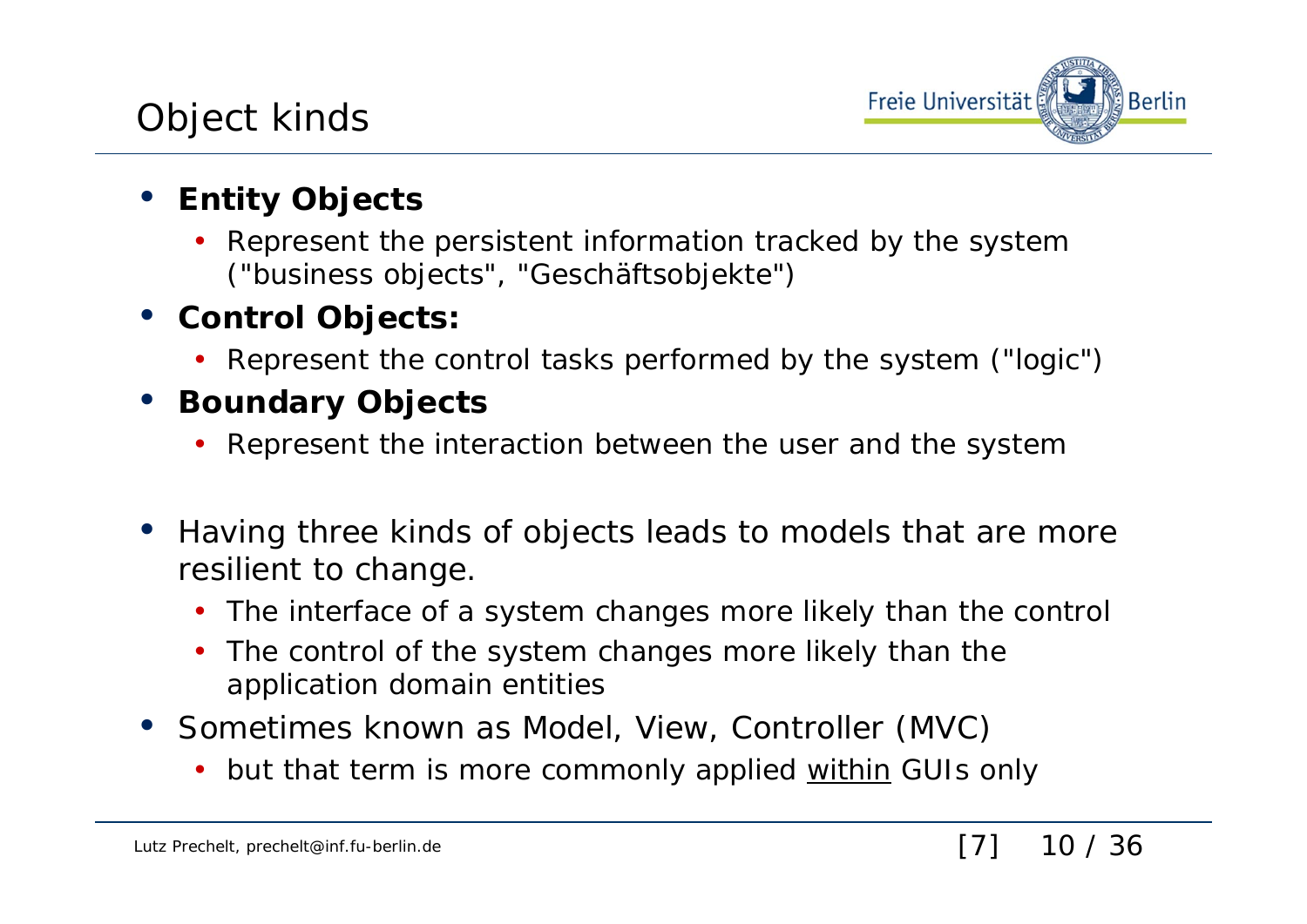

### •**Entity Objects**

• Represent the persistent information tracked by the system ("business objects", "Geschäftsobjekte")

## • **Control Objects:**

• Represent the control tasks performed by the system ("logic")

## •**Boundary Objects**

- Represent the interaction between the user and the system
- • Having three kinds of objects leads to models that are more resilient to change.
	- The interface of a system changes more likely than the control
	- • The control of the system changes more likely than the application domain entities
- Sometimes known as Model, View, Controller (MVC)
	- but that term is more commonly applied within GUIs only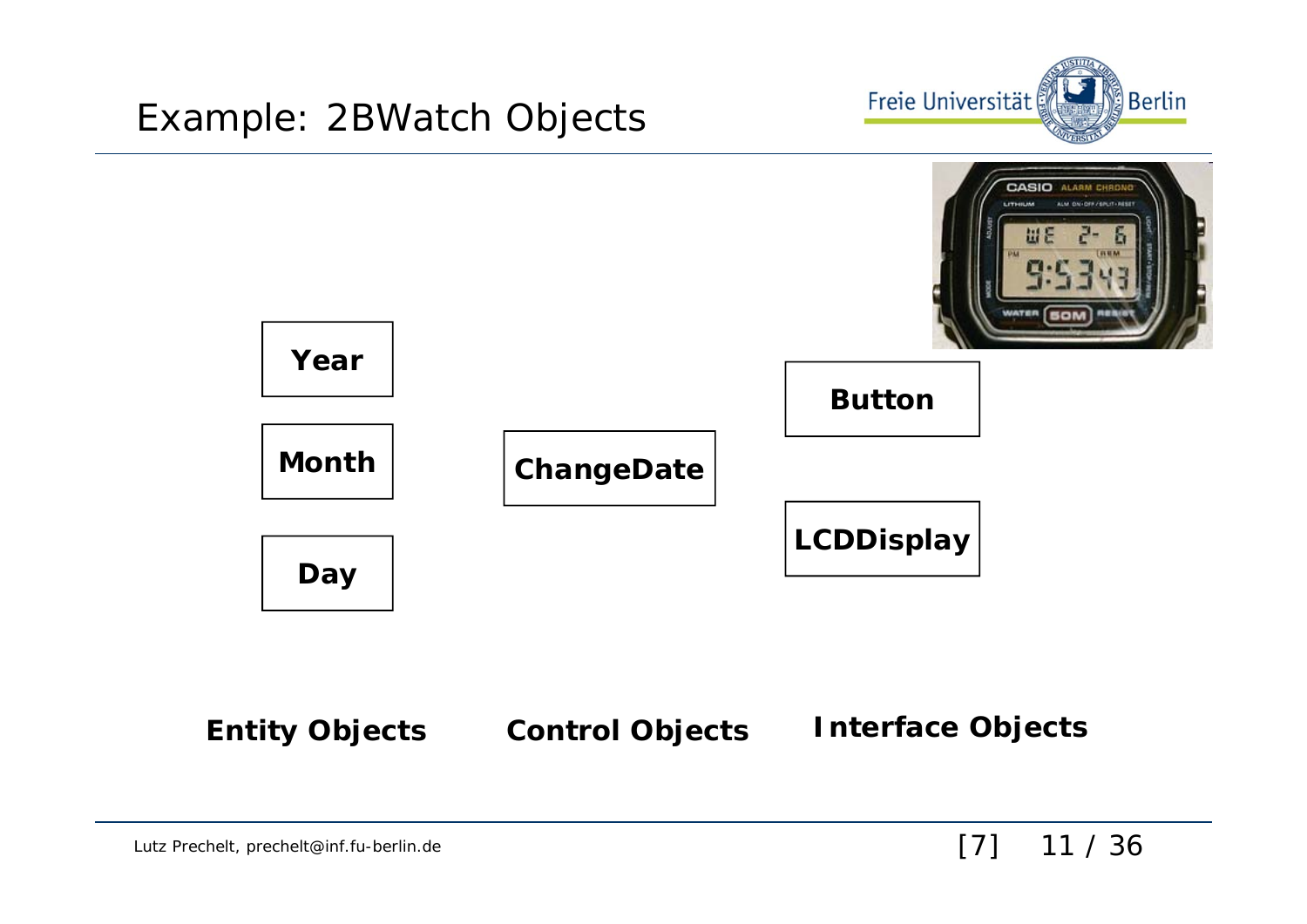



**Entity Objects Control Objects Interface Objects**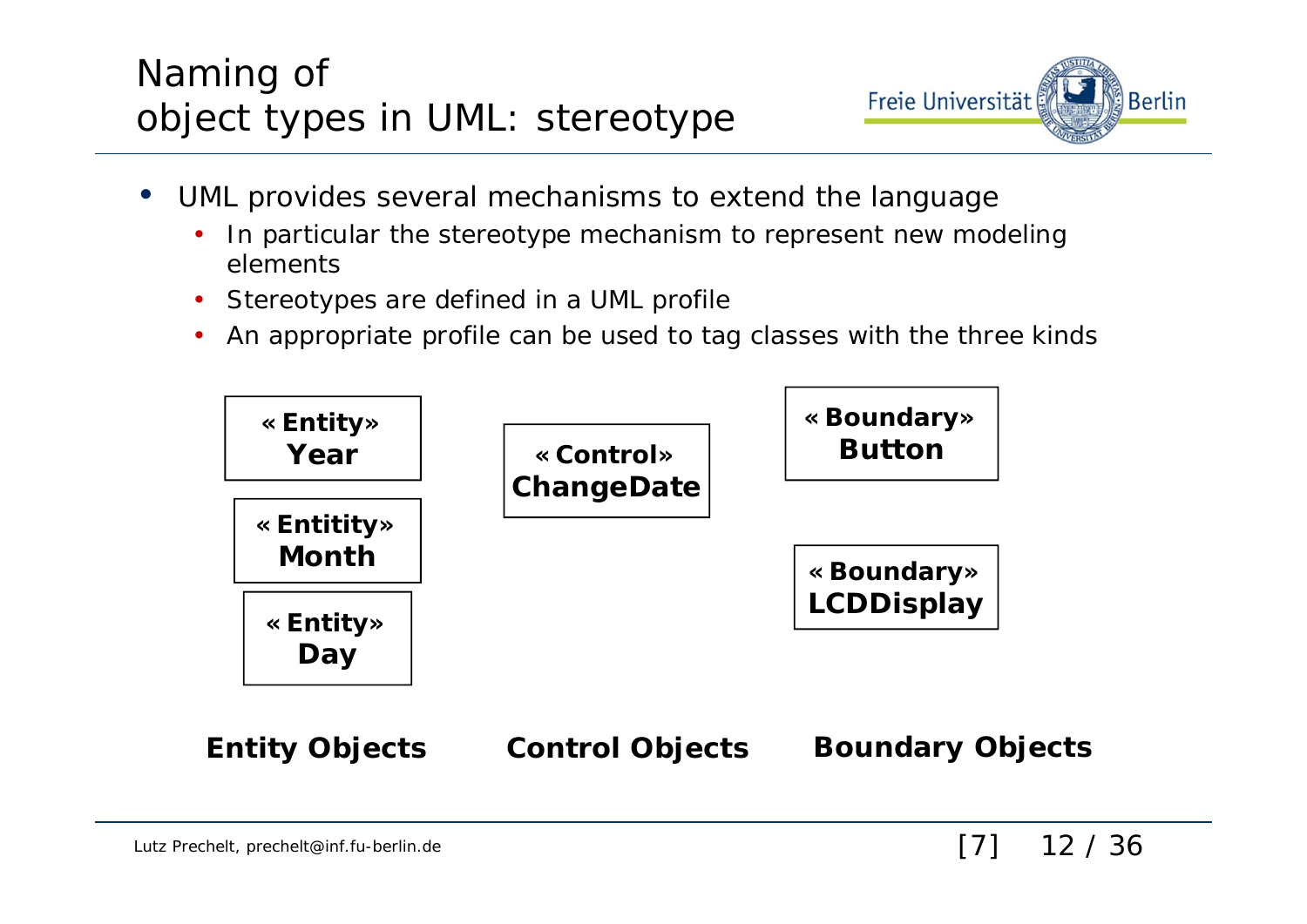

- • UML provides several mechanisms to extend the language
	- • In particular the *stereotype* mechanism to represent new modeling elements
	- Stereotypes are defined in a UML *profile*
	- •An appropriate profile can be used to tag classes with the three kinds

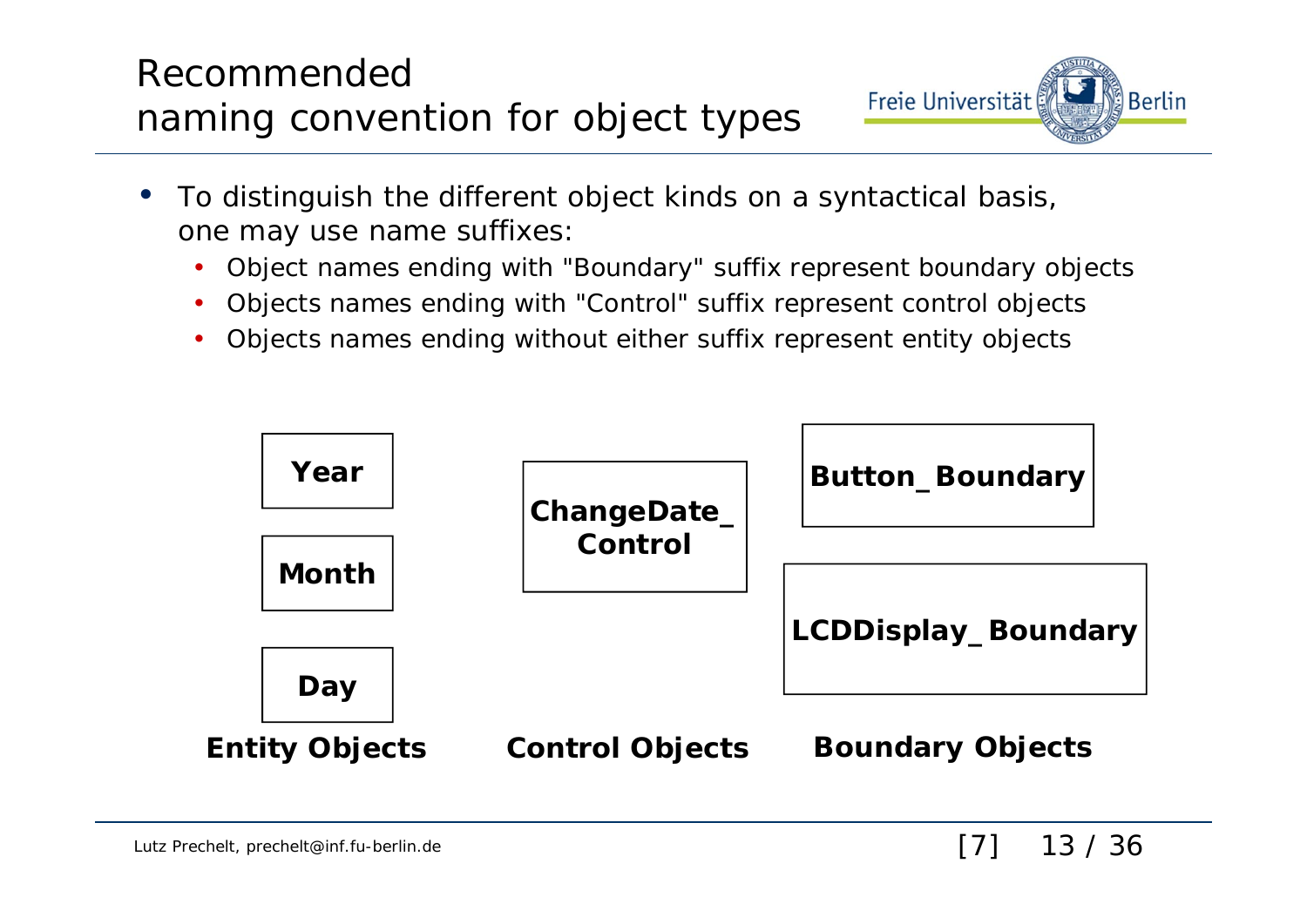

- • To distinguish the different object kinds on a syntactical basis, one may use name suffixes:
	- Object names ending with "Boundary" suffix represent boundary objects
	- •Objects names ending with "Control" suffix represent control objects
	- •Objects names ending without either suffix represent entity objects

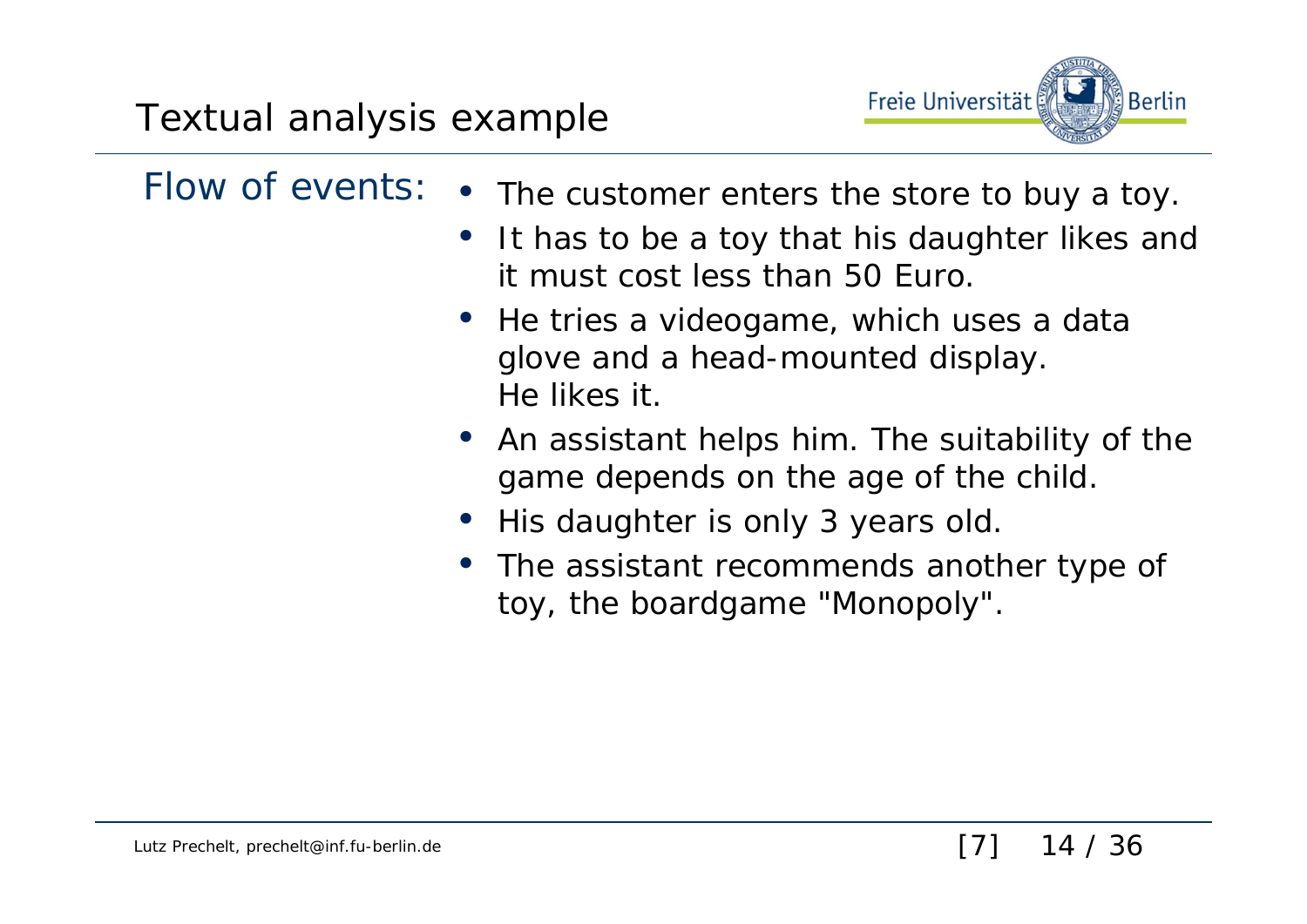

• The customer enters the store to buy a toy. Flow of events:

- • It has to be a toy that his daughter likes and it must cost less than 50 Euro.
- • He tries a videogame, which uses a data glove and a head-mounted display. He likes it.
- • An assistant helps him. The suitability of the game depends on the age of the child.
- •His daughter is only 3 years old.
- $\bullet$  The assistant recommends another type of toy, the boardgame "Monopoly".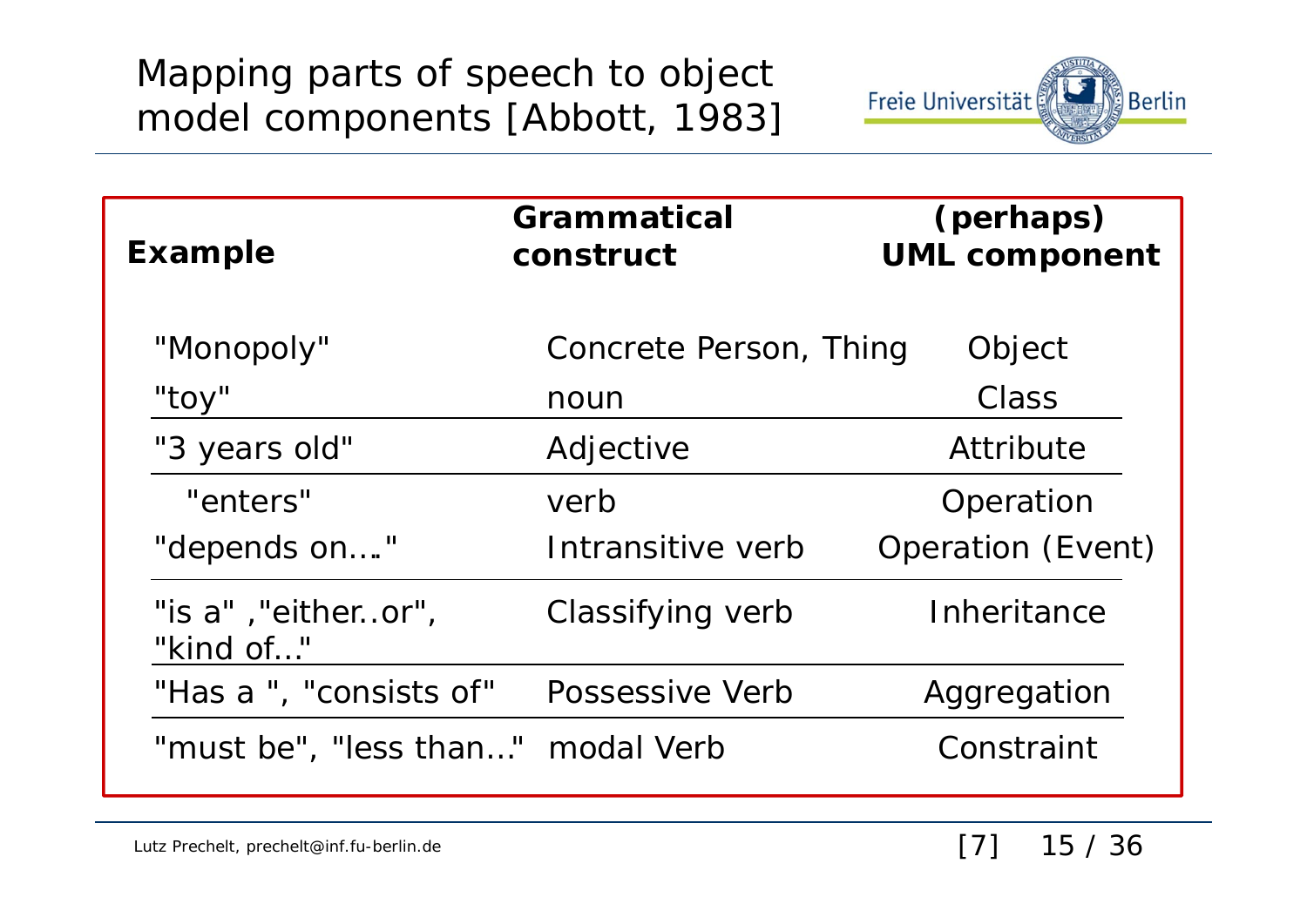Mapping parts of speech to object model components [Abbott, 1983]



| Example                           | Grammatical<br>construct | (perhaps)<br><b>UML</b> component |
|-----------------------------------|--------------------------|-----------------------------------|
| "Monopoly"                        | Concrete Person, Thing   | Object                            |
| "toy"                             | noun                     | Class                             |
| "3 years old"                     | Adjective                | Attribute                         |
| "enters"                          | verb                     | Operation                         |
| "depends on"                      | Intransitive verb        | <b>Operation (Event)</b>          |
| "is a", "eitheror",<br>"kind of"  | Classifying verb         | Inheritance                       |
| "Has a ", "consists of"           | Possessive Verb          | Aggregation                       |
| "must be", "less than" modal Verb |                          | Constraint                        |

Lutz Prechelt, prechelt@inf.fu-berlin.de  $[7]$  15 / 36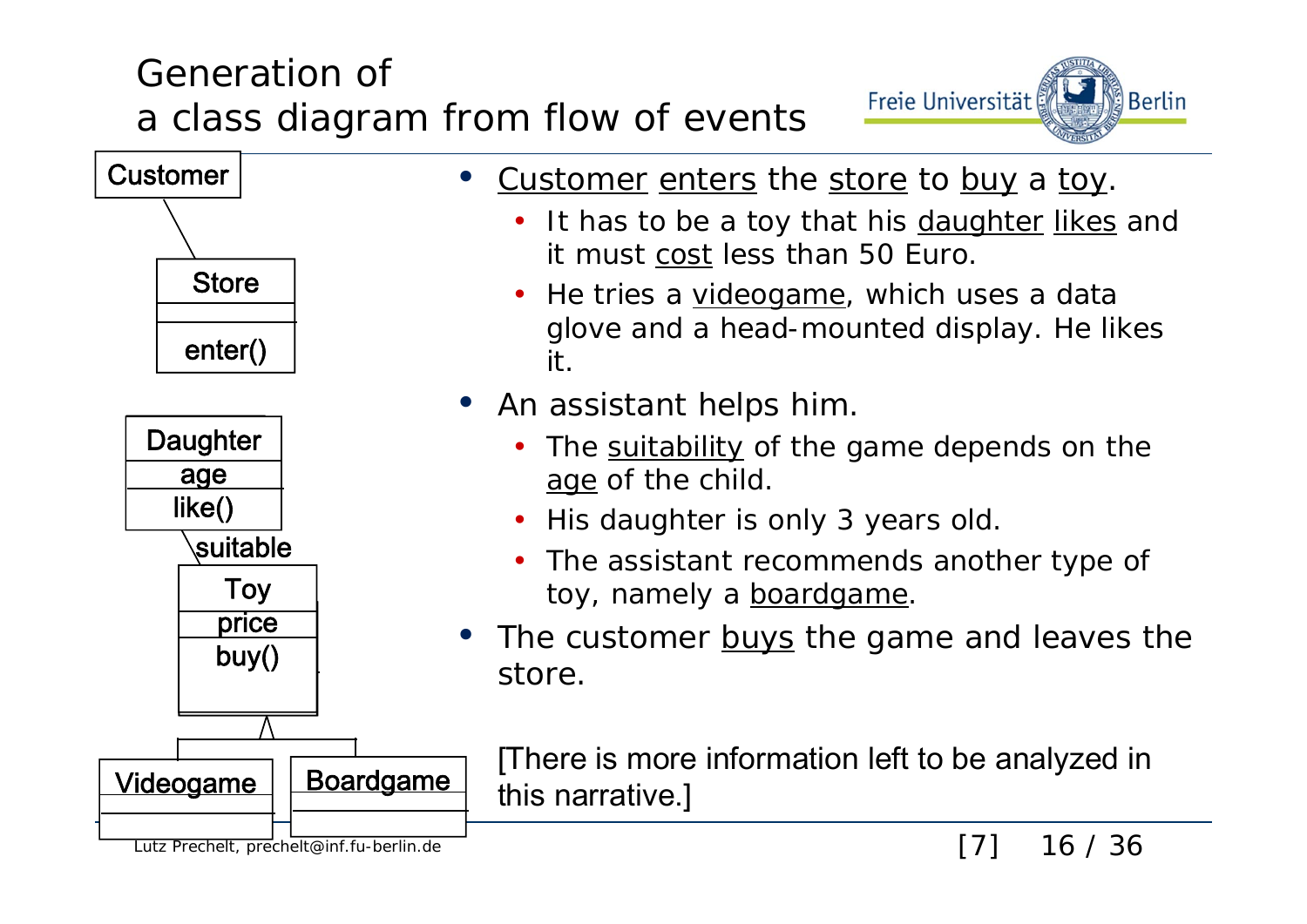# Generation of a class diagram from flow of events





- •Customer enters the store to buy a toy.
	- •It has to be a toy that his daughter likes and it must cost less than 50 Euro.
	- $\bullet$ He tries a videogame, which uses a data glove and a head-mounted display. He likes it.
- • An assistant helps him.
	- •The suitability of the game depends on the age of the child.
	- •His daughter is only 3 years old.
	- • The assistant recommends another type of toy, namely a **boardgame**.
- The customer buys the game and leaves the store.

[There is more information left to be analyzed in this narrative.]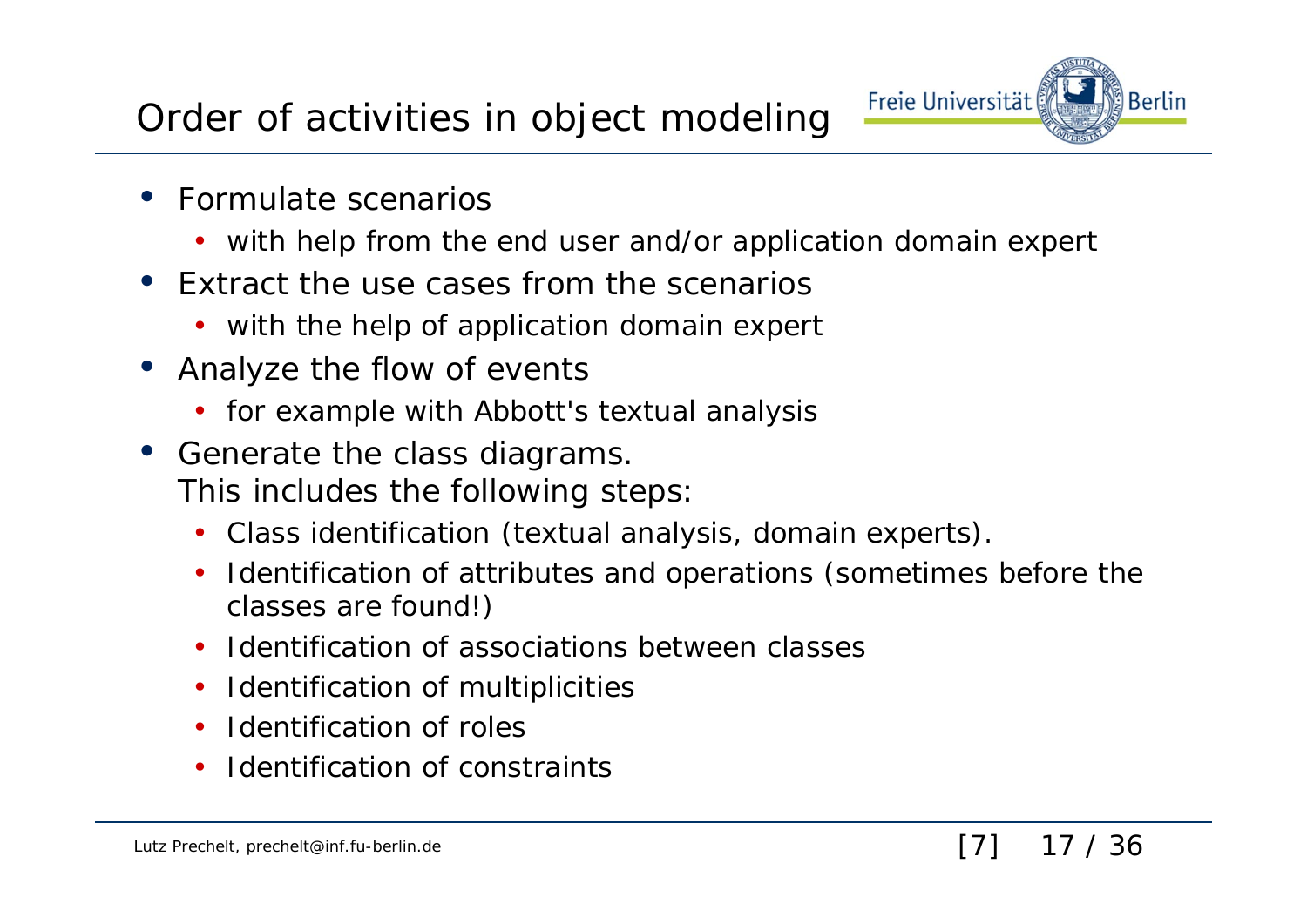

- • Formulate scenarios
	- with help from the end user and/or application domain expert
- • Extract the use cases from the scenarios
	- with the help of application domain expert
- • Analyze the flow of events
	- for example with Abbott's textual analysis
- • Generate the class diagrams. This includes the following steps:
	- Class identification (textual analysis, domain experts).
	- Identification of attributes and operations (sometimes before the classes are found!)
	- Identification of associations between classes
	- Identification of multiplicities
	- Identification of roles
	- Identification of constraints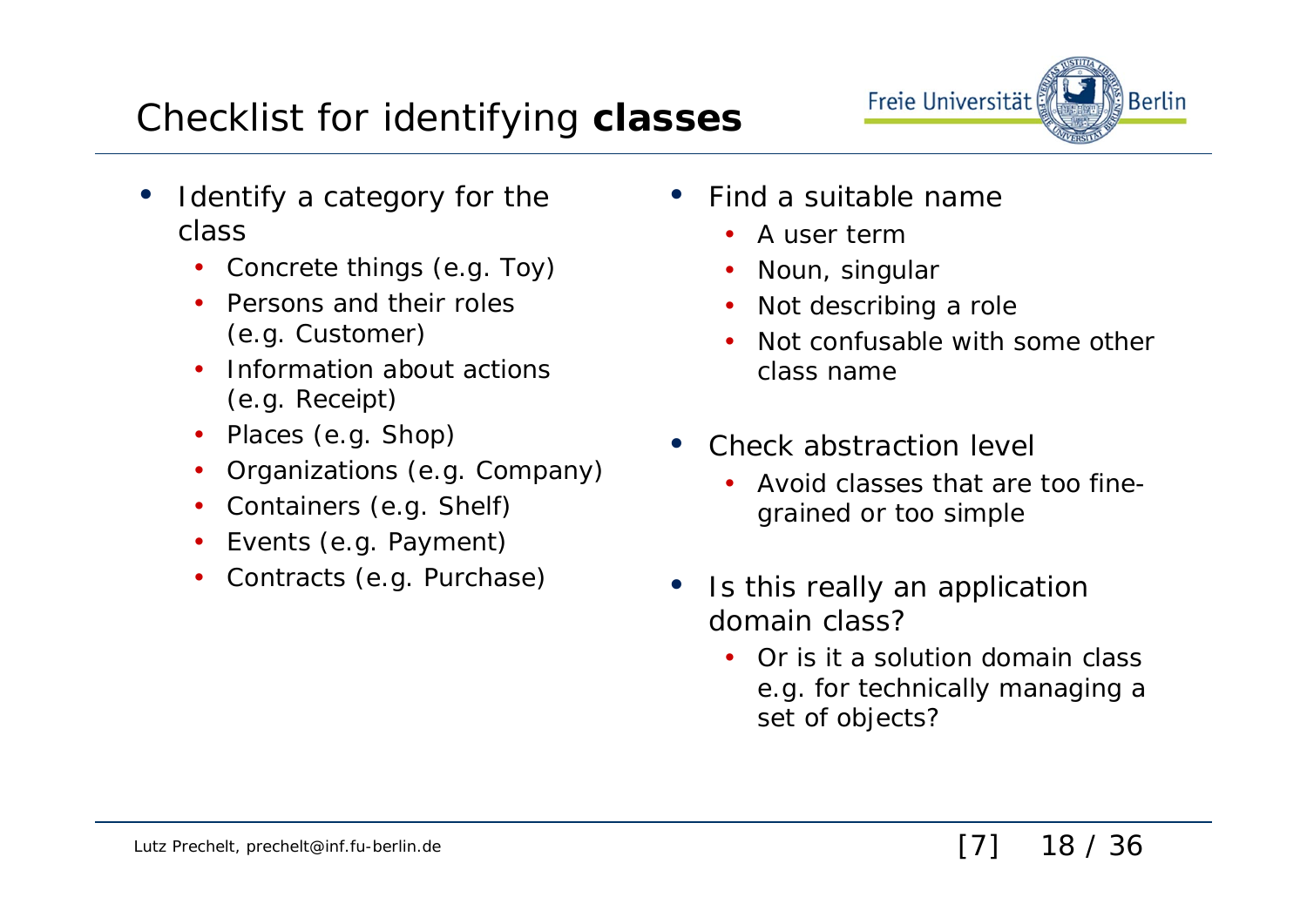



- • Identify a category for the class
	- Concrete things (e.g. Toy)
	- Persons and their roles (e.g. Customer)
	- Information about actions (e.g. Receipt)
	- Places (e.g. Shop)
	- Organizations (e.g. Company)
	- Containers (e.g. Shelf)
	- Events (e.g. Payment)
	- Contracts (e.g. Purchase)
- • Find a suitable name
	- •A user term
	- •Noun, singular
	- •Not describing a role
	- • Not confusable with some other class name
- • Check abstraction level
	- • Avoid classes that are too finegrained or too simple
- • Is this really an application domain class?
	- Or is it a solution domain class e.g. for technically managing a set of objects?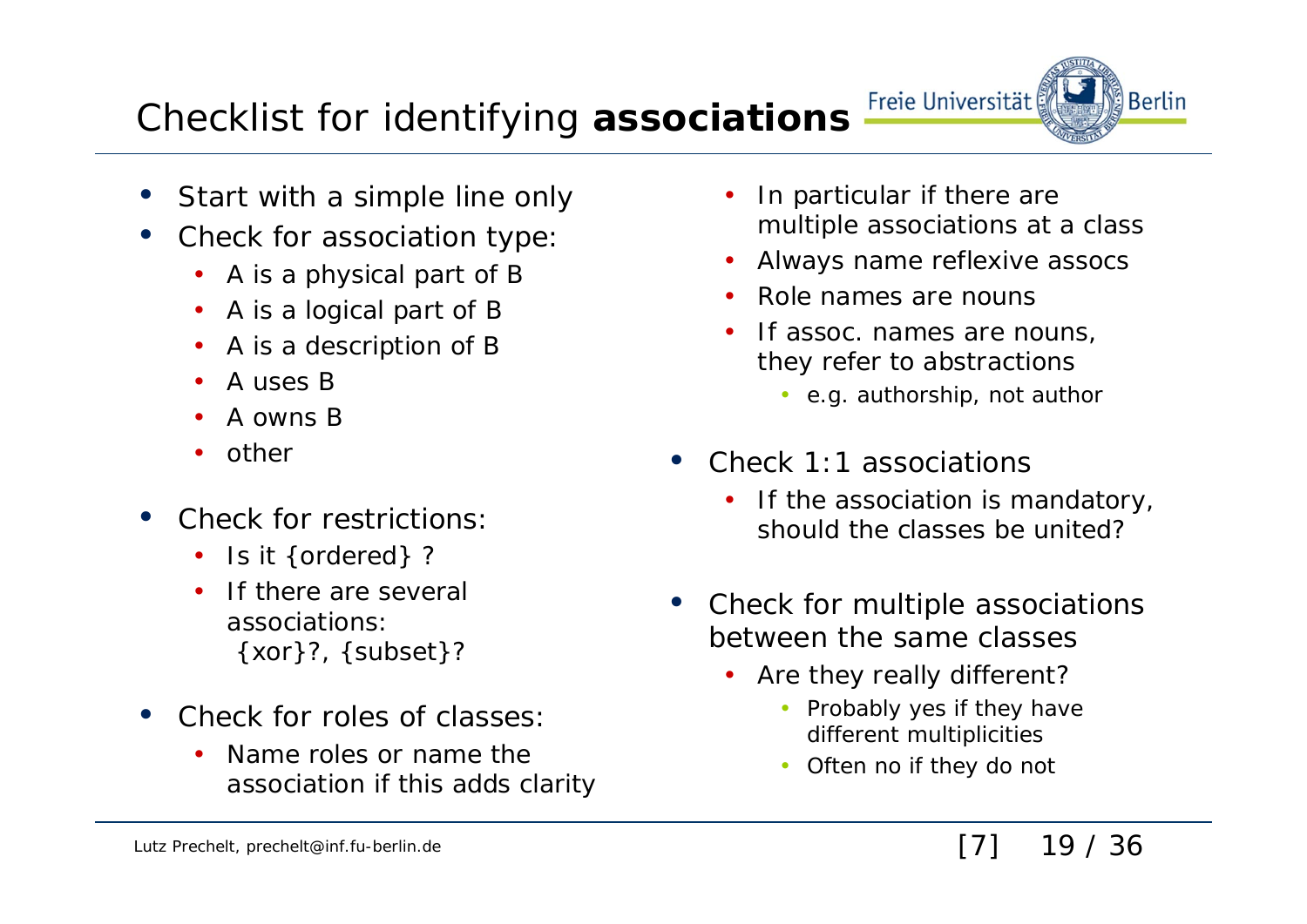Checklist for identifying **associations**

- •Start with a simple line only
- • Check for association type:
	- A is a physical part of E
	- A is a logical part of E
	- A is a description of E
	- $\bullet$  A uses E
	- $\bullet$  A owns E
	- other
- • Check for restrictions:
	- Is it {ordered}?
	- • If there are several associations:{xor}?, {subset}?
- • Check for roles of classes:
	- • Name roles or name the association if this adds clarity

• In particular if there are multiple associations at a class

Freie Universität

**Berlin** 

- •Always name reflexive assocs
- •Role names are nouns
- • If assoc. names are nouns, they refer to abstractions
	- e.g. *authorship*, not *author*
- • Check 1:1 associations
	- • If the association is mandatory, should the classes be united?
- $\bullet$  Check for multiple associations between the same classes
	- Are they really different?
		- Probably yes if they have different multiplicities
		- •Often no if they do not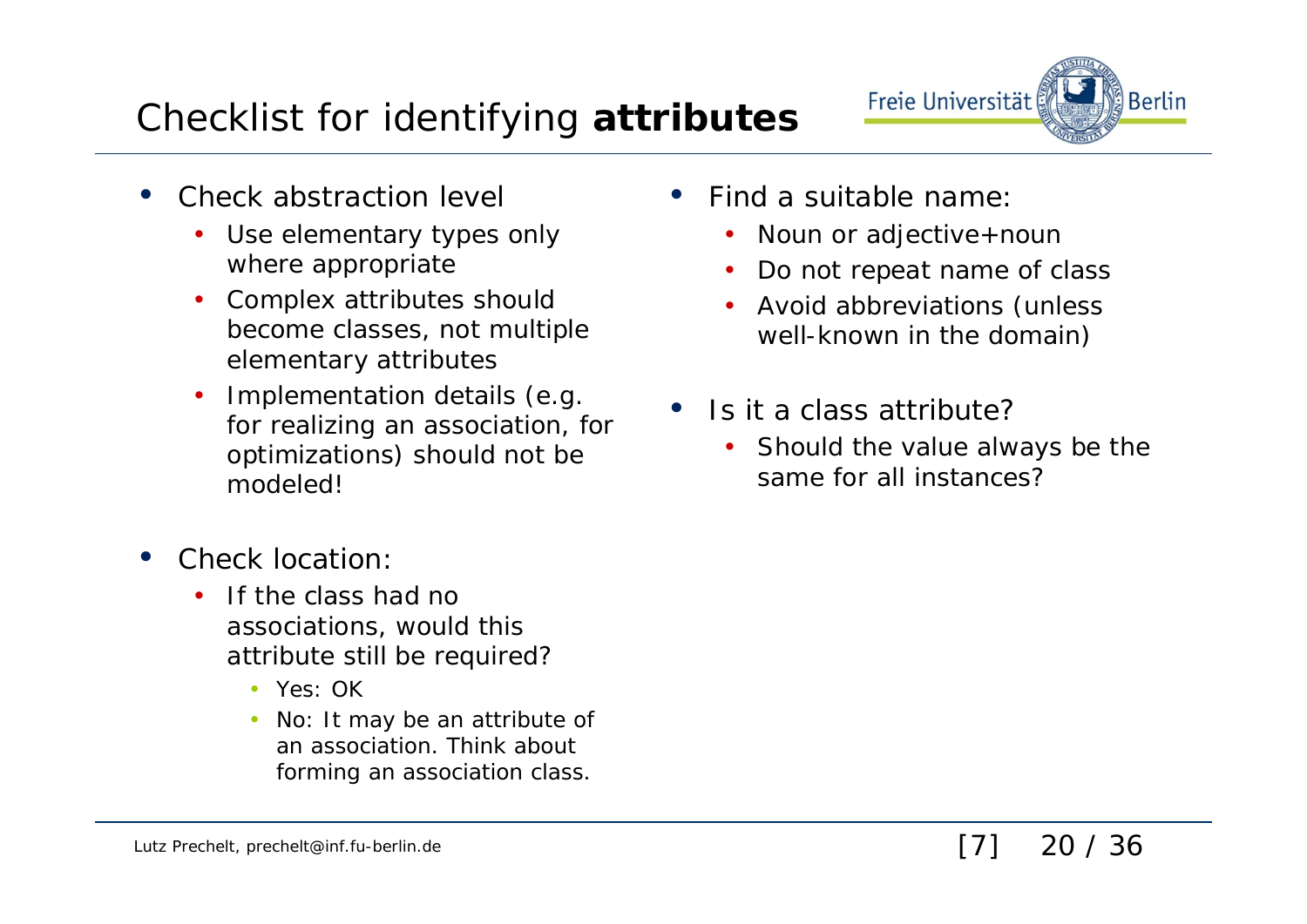Checklist for identifying **attributes**



- • Check abstraction level
	- Use elementary types only where appropriate
	- Complex attributes should become classes, not multiple elementary attributes
	- • Implementation details (e.g. for realizing an association, for optimizations) should not be modeled!
- • Check location:
	- • If the class had no associations, would this attribute still be required?
		- Yes: Ok
		- $\bullet$  No: It may be an attribute of an association. Think about forming an association class.
- • Find a suitable name:
	- •Noun or adjective+noun
	- •Do not repeat name of class
	- • Avoid abbreviations (unless well-known in the domain)
- • Is it a class attribute?
	- • Should the value always be the same for all instances?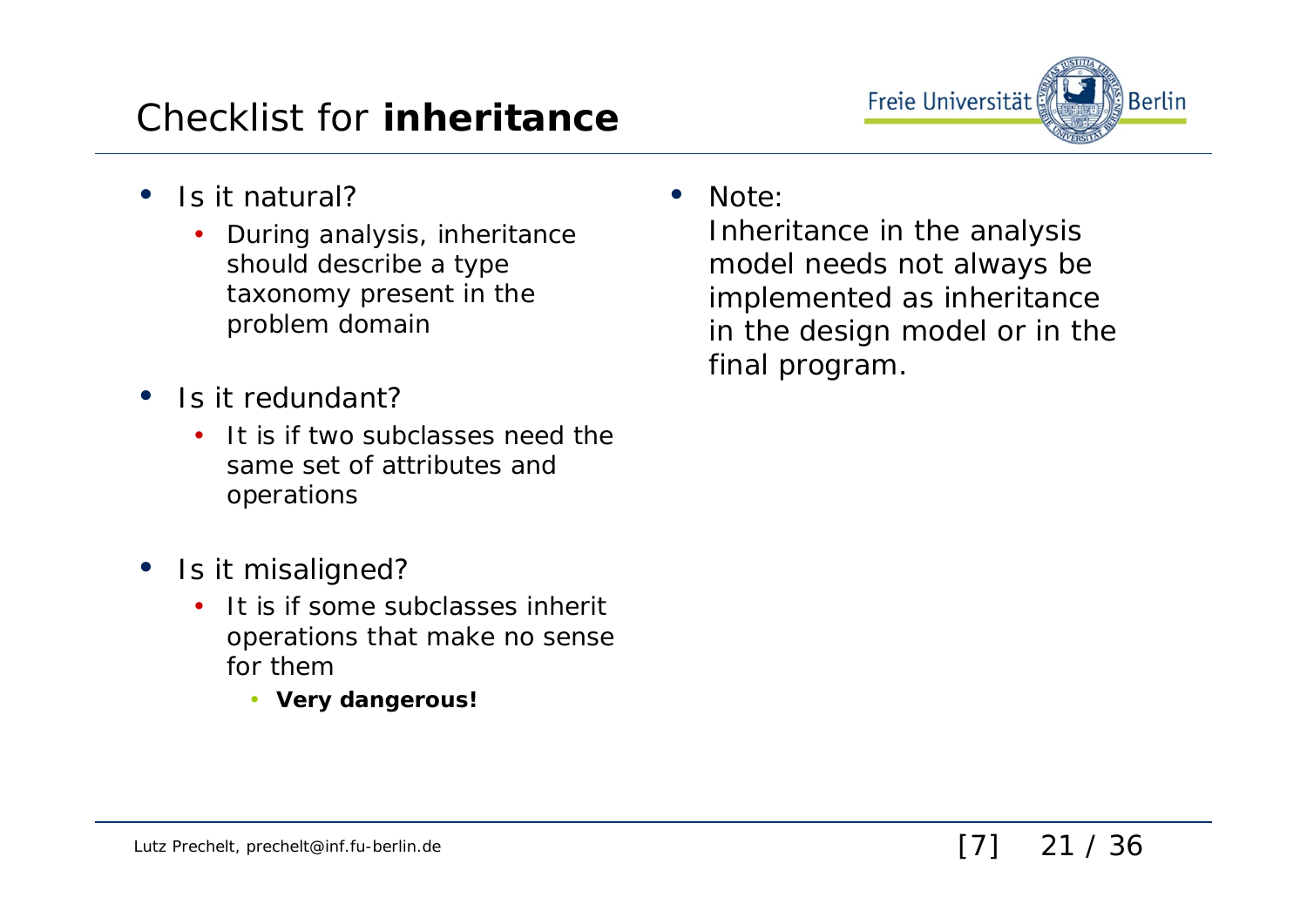

- $\bullet$  Is it natural?
	- $\bullet$  During analysis, inheritance should describe a type taxonomy present in the *problem domain*
- $\bullet$  Is it redundant?
	- It is if two subclasses need the same set of attributes and operations
- $\bullet$  Is it misaligned?
	- It is if some subclasses inherit operations that make no sense for them
		- **Very dangerous!**

•Note:

Inheritance in the analysis model needs not always be implemented as inheritance in the design model or in the final program.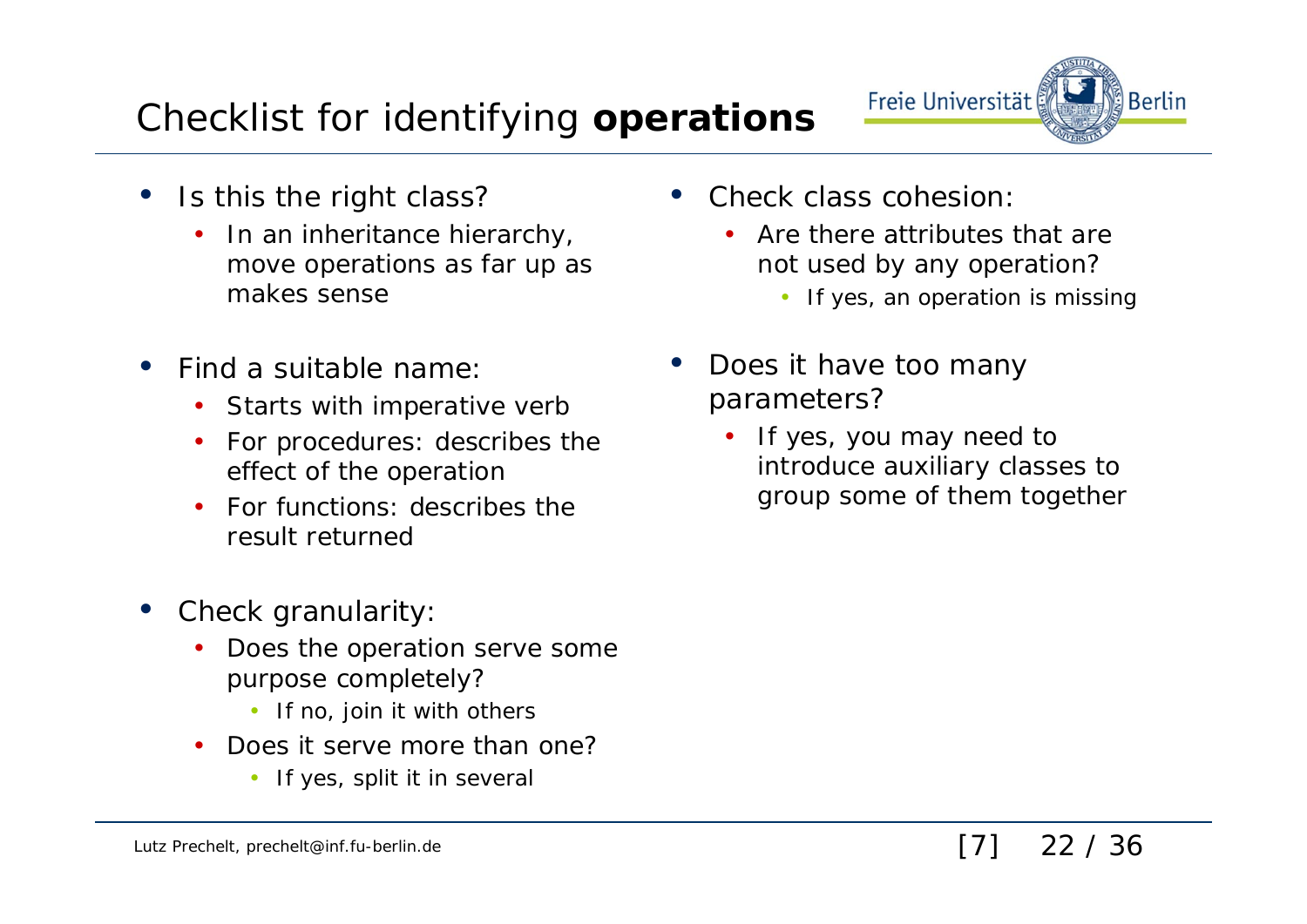Checklist for identifying **operations**



- • Is this the right class?
	- • In an inheritance hierarchy, move operations as far up as makes sense
- • Find a suitable name:
	- Starts with imperative verk
	- For procedures: describes the effect of the operation
	- • For functions: describes the result returned
- • Check granularity:
	- • Does the operation serve some purpose completely?
		- If no, join it with others
	- Does it serve more than one?
		- If yes, split it in several
- • Check class cohesion:
	- • Are there attributes that are not used by any operation?
		- If yes, an operation is missing
- • Does it have too many parameters?
	- • If yes, you may need to introduce auxiliary classes to group some of them together

Lutz Prechelt, prechelt@inf.fu-berlin.de  $\lceil 7 \rceil$  22 / 36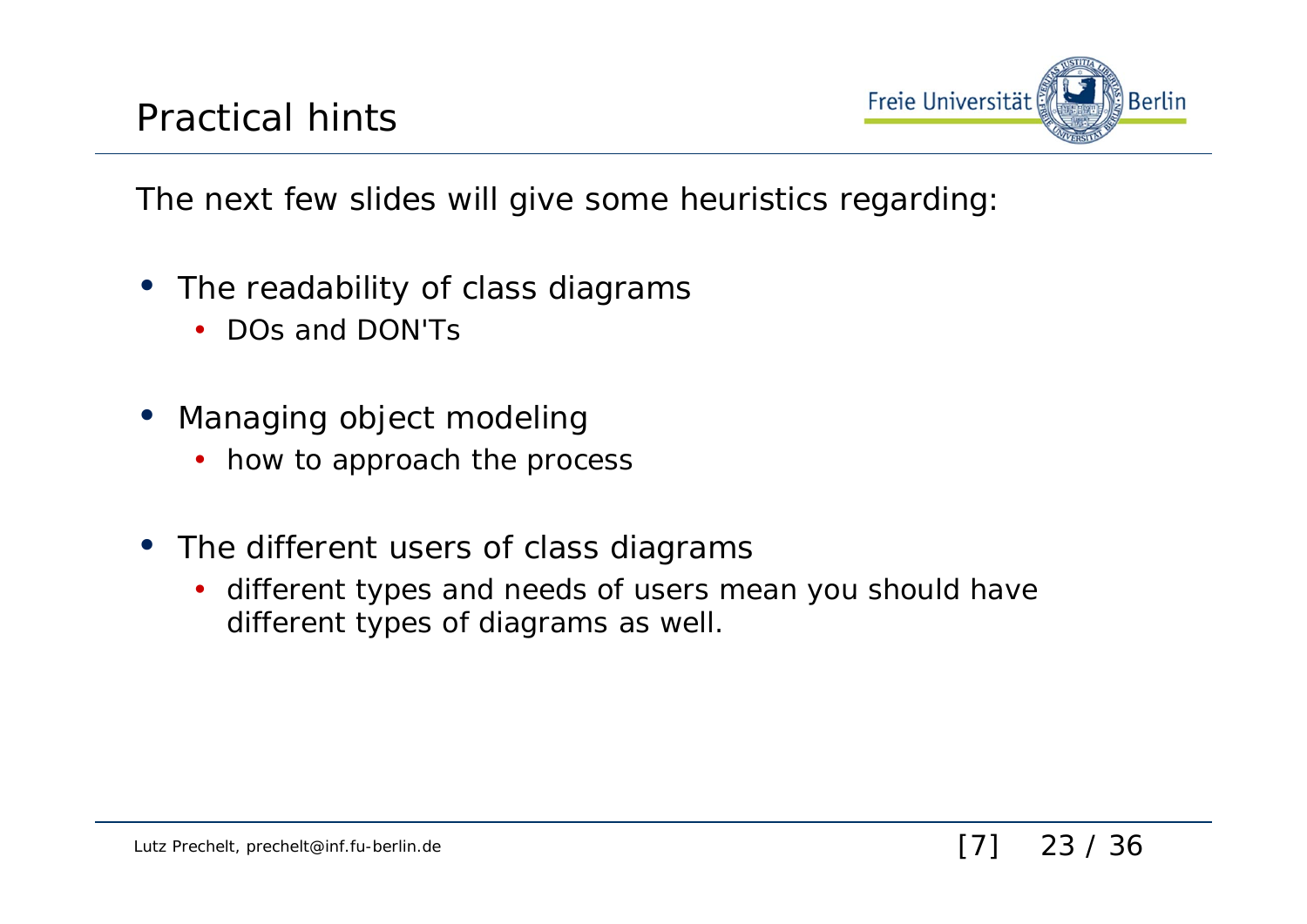

The next few slides will give some heuristics regarding:

- The readability of class diagrams
	- DOs and DON'Ts
- $\bullet$  Managing object modeling
	- how to approach the process
- The different users of class diagrams
	- different types and needs of users mean you should have different types of diagrams as well.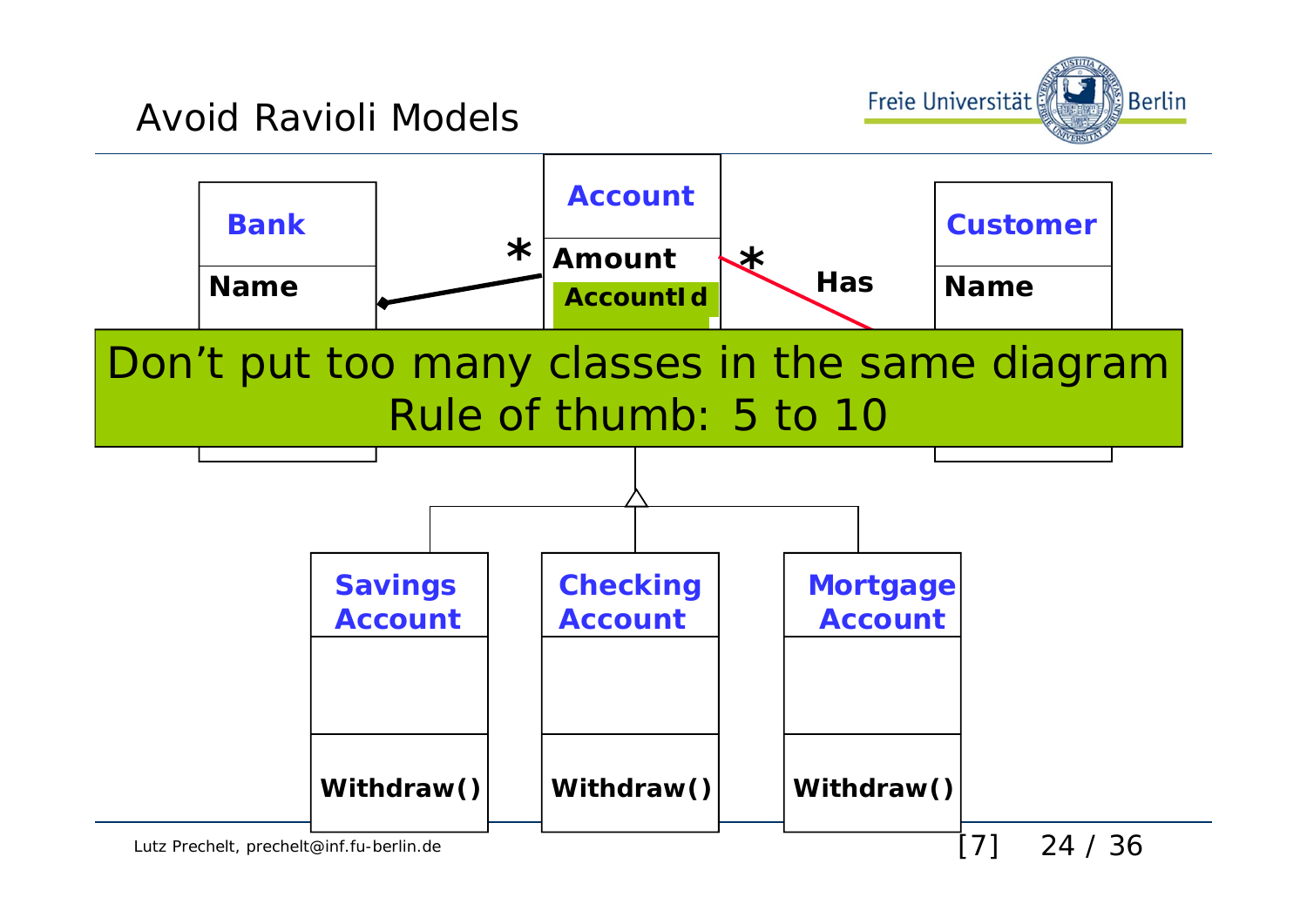

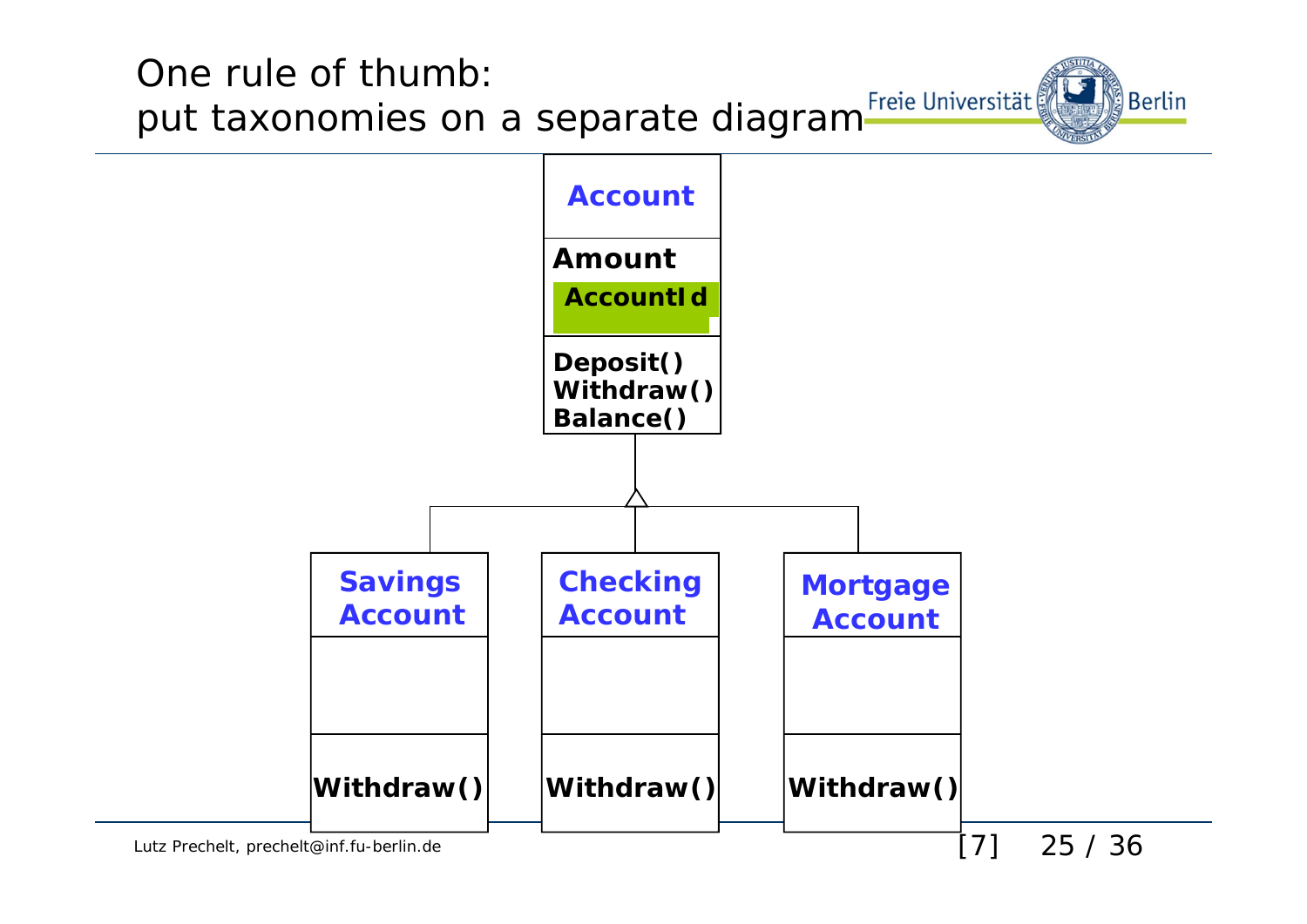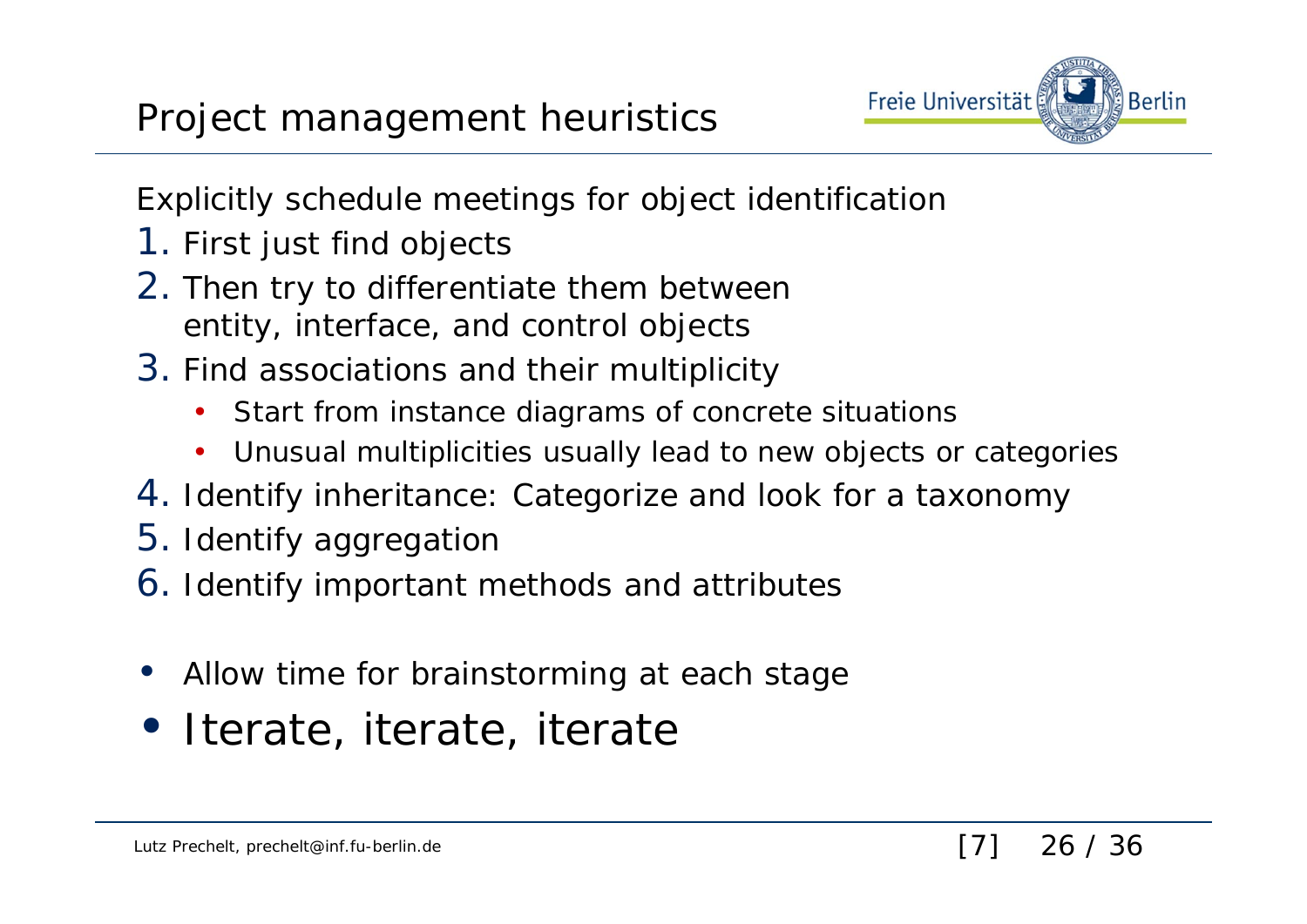

Explicitly schedule meetings for object identification

- 1. First just find objects
- 2. Then try to differentiate them between entity, interface, and control objects
- 3. Find associations and their multiplicity
	- •Start from instance diagrams of concrete situations
	- $\bullet$ Unusual multiplicities usually lead to new objects or categories
- 4. Identify inheritance: Categorize and look for a taxonomy
- 5. Identify aggregation
- 6. Identify important methods and attributes
- •Allow time for brainstorming at each stage
- $\bullet$ Iterate, iterate, iterate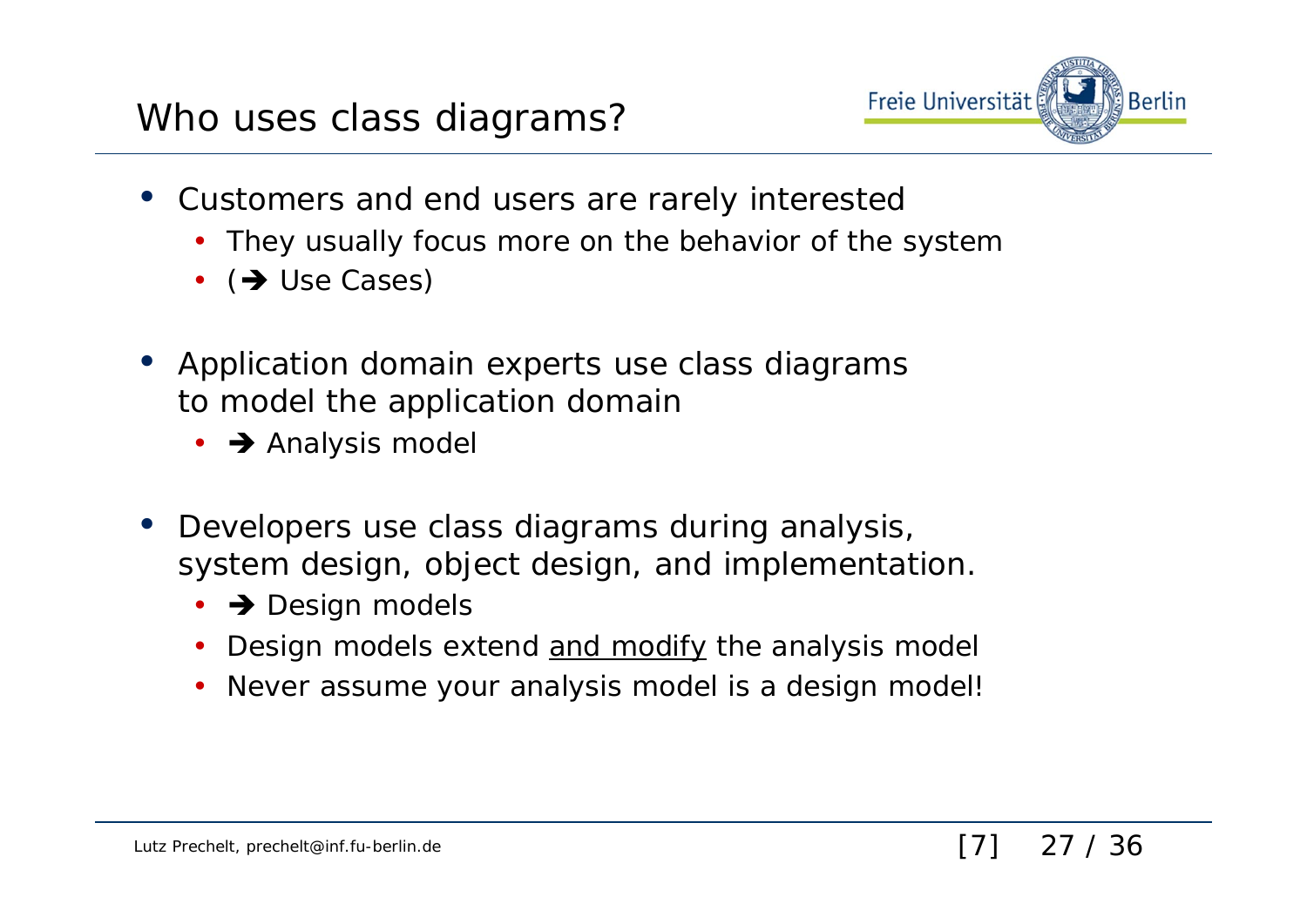

- • Customers and end users are rarely interested
	- They usually focus more on the behavior of the system
	- $\left( \rightarrow \right)$  Use Cases)
- • Application domain experts use class diagrams to model the application domain
	- $\bullet\ \rightarrow$  Analysis model
- • Developers use class diagrams during analysis, system design, object design, and implementation.
	- $\bullet\ \rightarrow$  Design models
	- Design models extend and modify the analysis model
	- Never assume your analysis model is a design model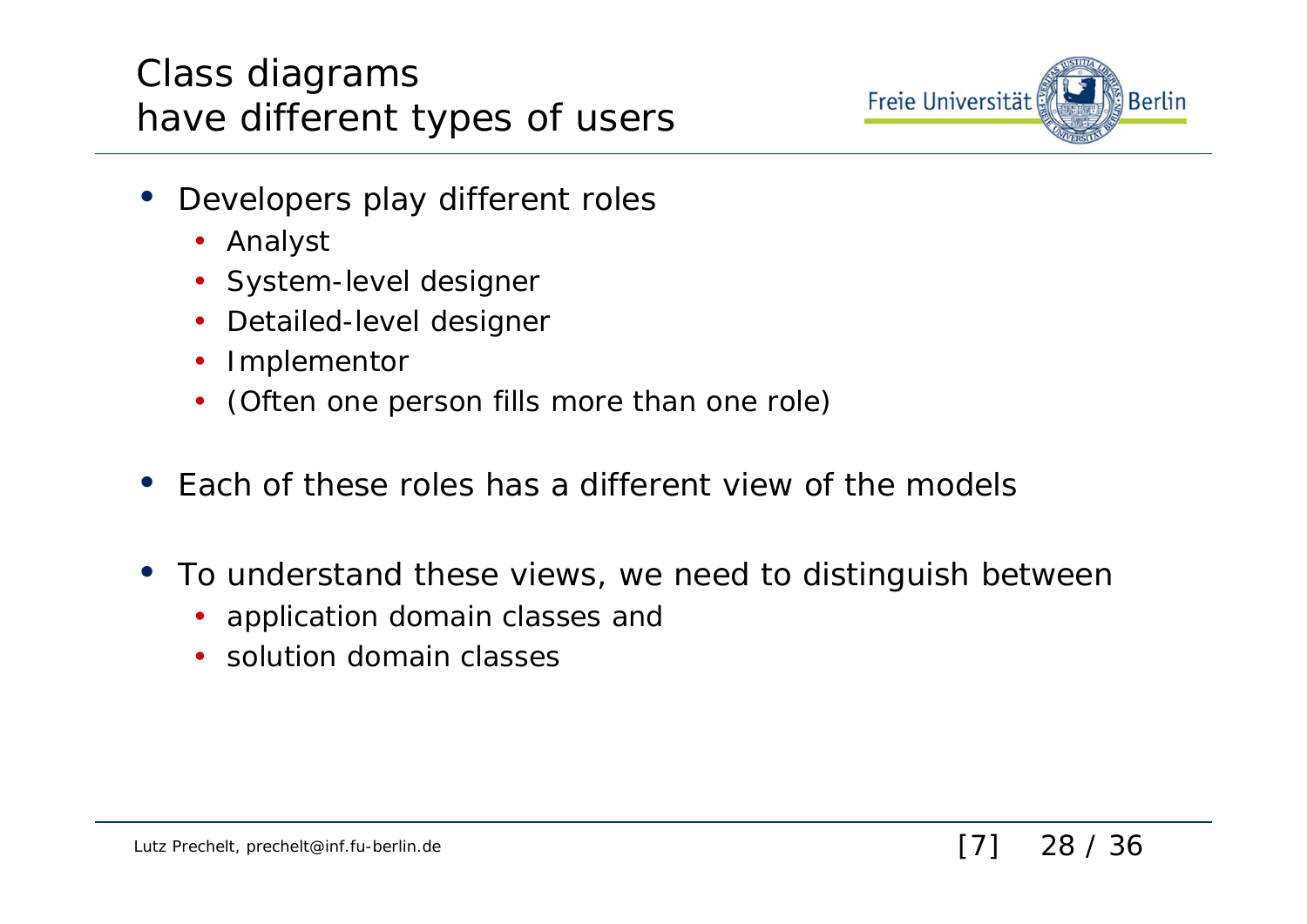Class diagrams have different types of users



- • Developers play different roles
	- Analyst
	- System-level designer
	- Detailed-level designer
	- Implementor
	- (Often one person fills more than one role)
- •Each of these roles has a different view of the models
- To understand these views, we need to distinguish between
	- application domain classes and
	- solution domain classes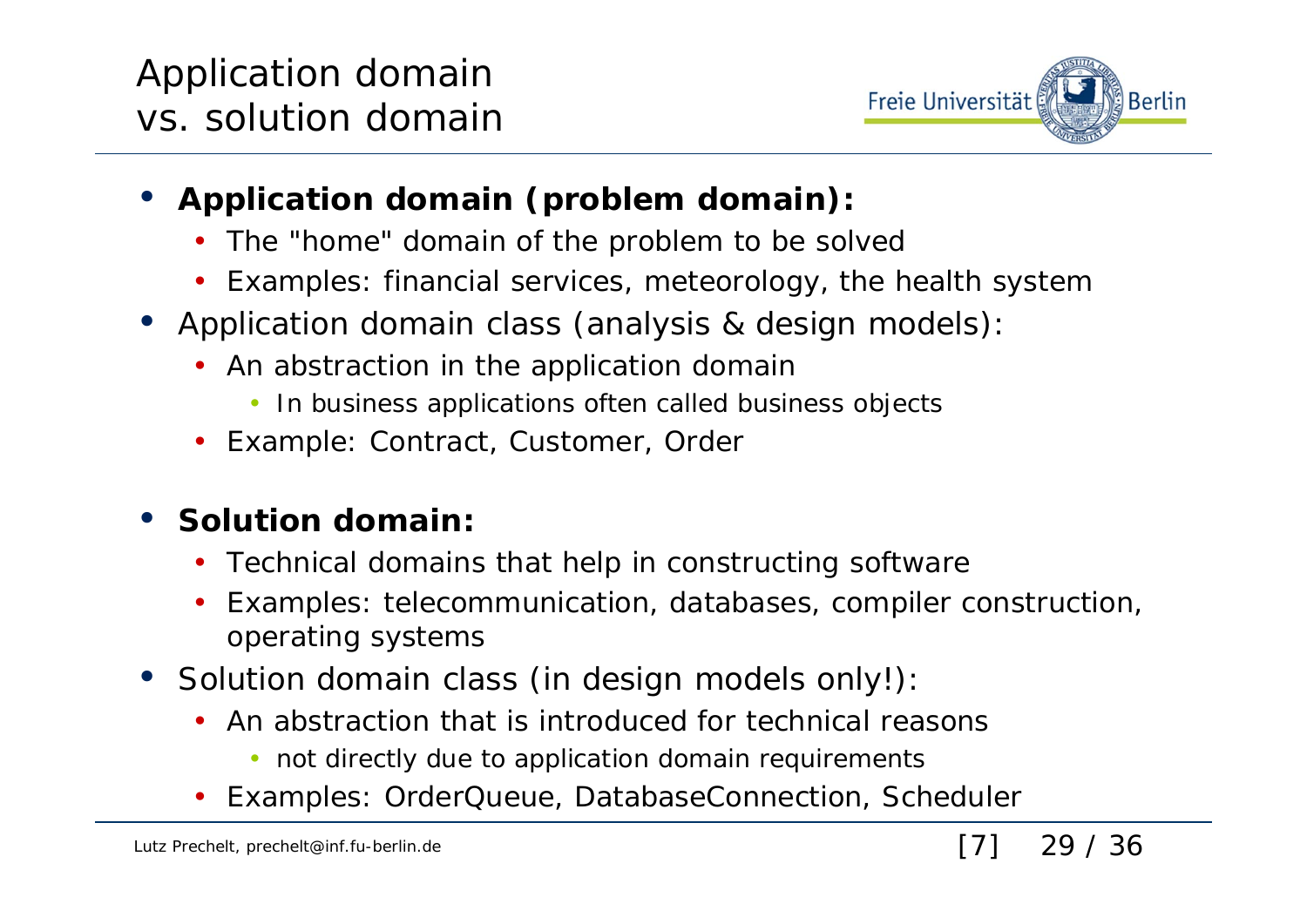

- • **Application domain (problem domain):** 
	- The "home" domain of the problem to be solved
	- Examples: financial services, meteorology, the health system
- • Application domain class (analysis & design models):
	- An abstraction in the application domair
		- In business applications often called business objects
	- Example: Contract, Customer, Order

### •**Solution domain:**

- Technical domains that help in constructing software
- • Examples: telecommunication, databases, compiler construction, operating systems
- Solution domain class (in design models only!)
	- An abstraction that is introduced for technical reasons
		- •not directly due to application domain requirements
	- Examples: OrderQueue, DatabaseConnection, Scheduler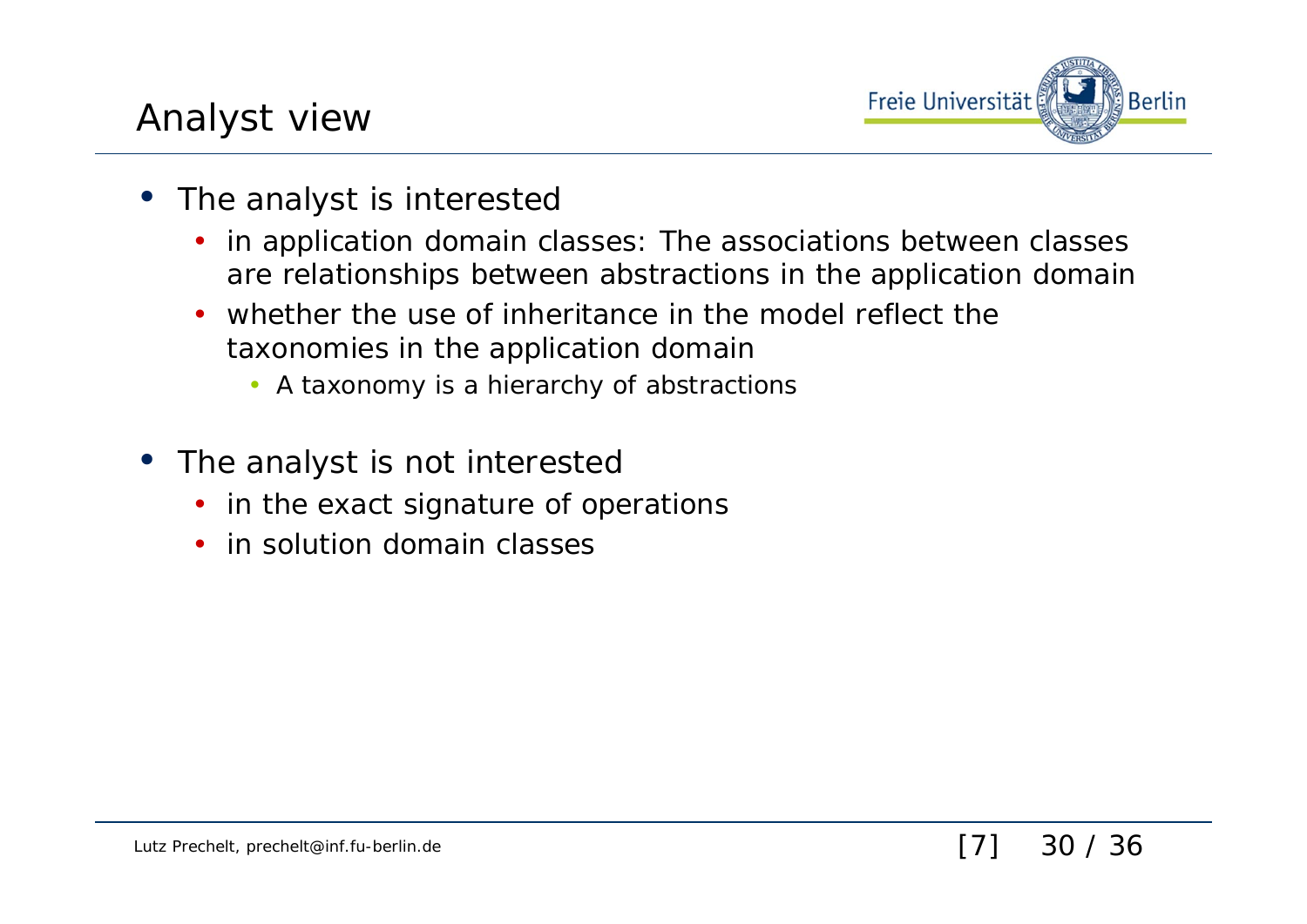

- • The analyst is interested
	- in application domain classes: The associations between classes are relationships between abstractions in the application domain
	- whether the use of inheritance in the model reflect the taxonomies in the application domain
		- A taxonomy is a hierarchy of abstractions
- The analyst is not interested
	- in the exact signature of operations
	- in solution domain classes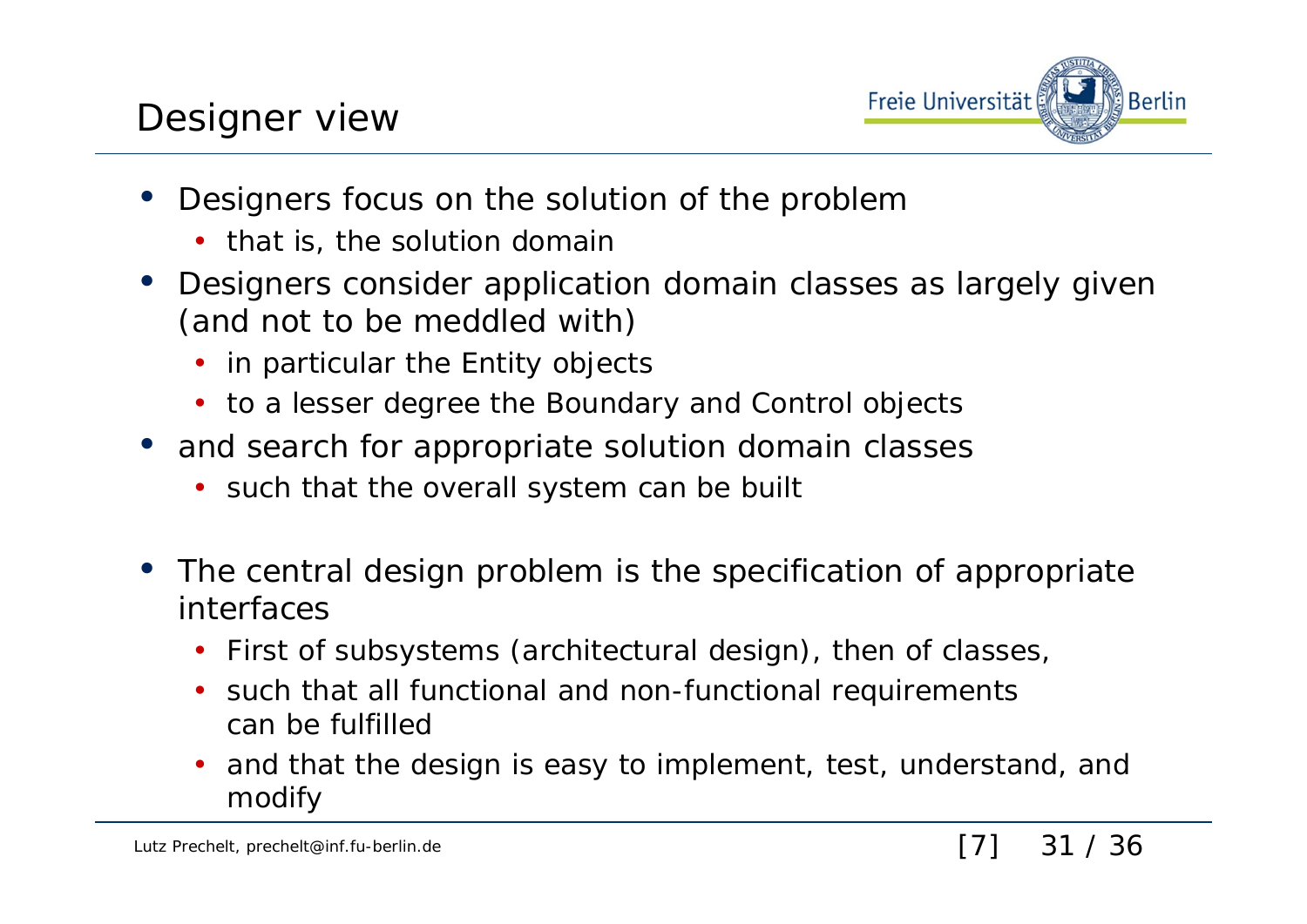

- • Designers focus on the solution of the problem
	- that is, the solution domair
- • Designers consider application domain classes as largely given (and not to be meddled with)
	- in particular the Entity objects
	- to a lesser degree the Boundary and Control objects
- and search for appropriate solution domain classes
	- such that the overall system can be built
- • The central design problem is the specification of appropriate interfaces
	- First of subsystems (architectural design), then of classes,
	- such that all functional and non-functional requirements can be fulfilled
	- and that the design is easy to implement, test, understand, and modify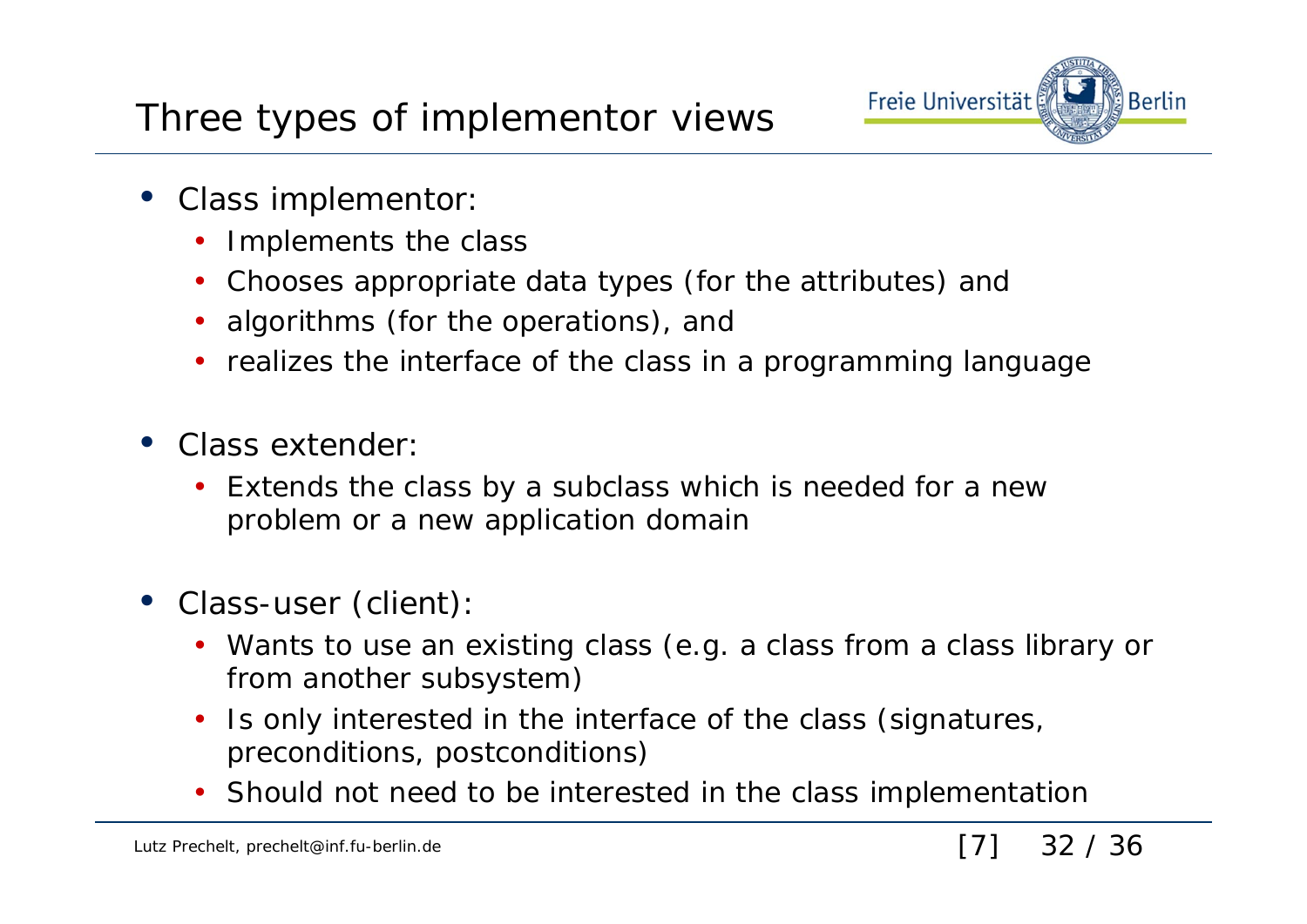

- • Class implementor:
	- Implements the class
	- Chooses appropriate data types (for the attributes) and
	- algorithms (for the operations), and
	- realizes the interface of the class in a programming language
- • Class extender:
	- Extends the class by a subclass which is needed for a new problem or a new application domain
- • Class-user (client):
	- Wants to use an existing class (e.g. a class from a class library or from another subsystem)
	- Is only interested in the interface of the class (signatures, preconditions, postconditions)
	- Should not need to be interested in the class implementation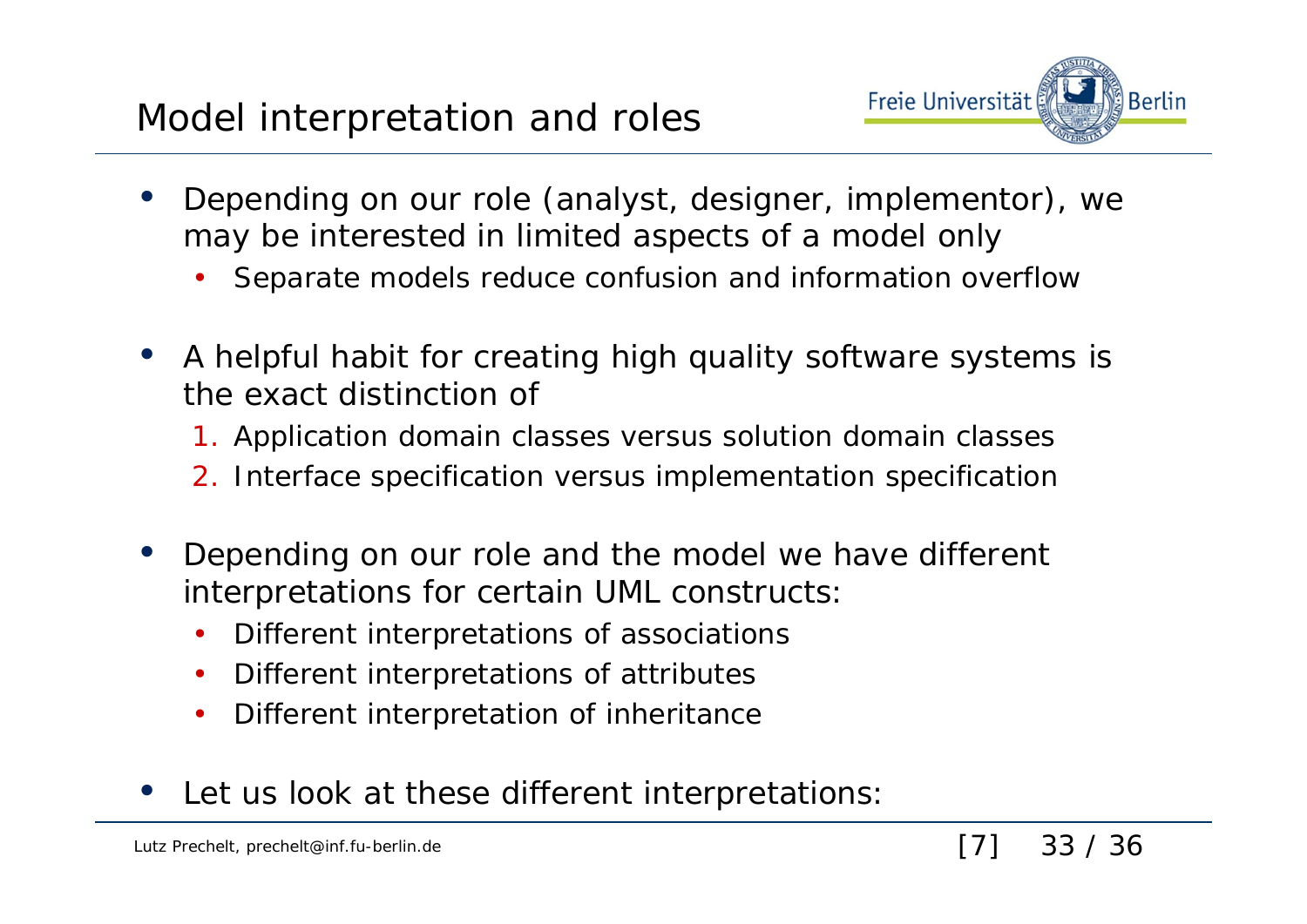

- • Depending on our role (analyst, designer, implementor), we may be interested in limited aspects of a model only
	- Separate models reduce confusion and information overflow
- • A helpful habit for creating high quality software systems is the exact distinction of
	- 1. Application domain classes versus solution domain classes
	- 2. Interface specification versus implementation specification
- • Depending on our role and the model we have different interpretations for certain UML constructs:
	- •Different interpretations of associations
	- •Different interpretations of attributes
	- •Different interpretation of inheritance
- •Let us look at these different interpretations: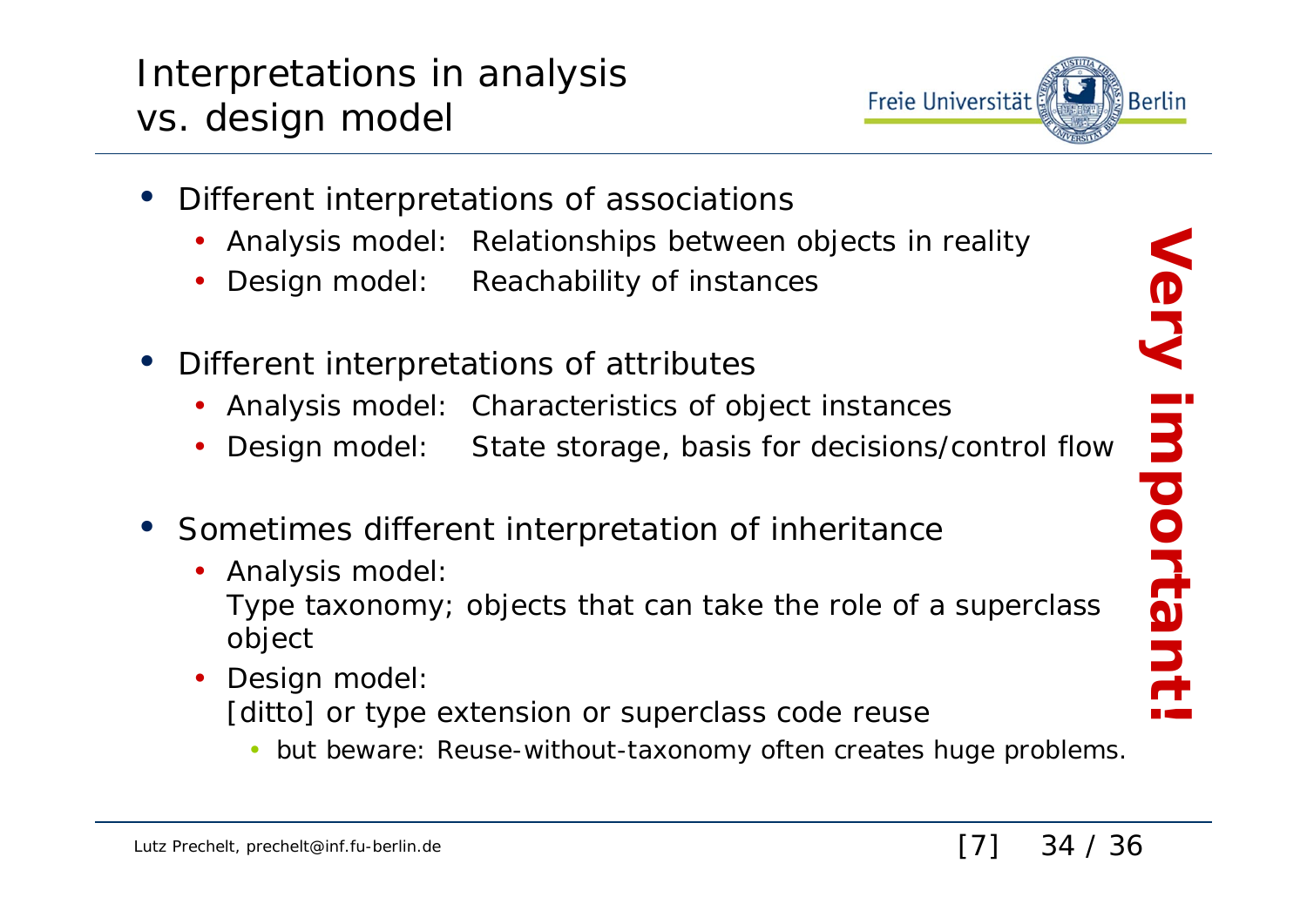Interpretations in analysis vs. design model



- • Different interpretations of associations
	- •Analysis model: Relationships between objects in reality
	- •Design model: Reachability of instances
- • Different interpretations of attributes
	- •Analysis model: Characteristics of object instances
	- •Design model: State storage, basis for decisions/control flow
- • Sometimes different interpretation of inheritance
	- • Analysis model: Type taxonomy; objects that can take the role of a superclass object
	- • Design model: [ditto] or type extension or superclass code reuse
		- but beware: Reuse-without-taxonomy often creates huge problems.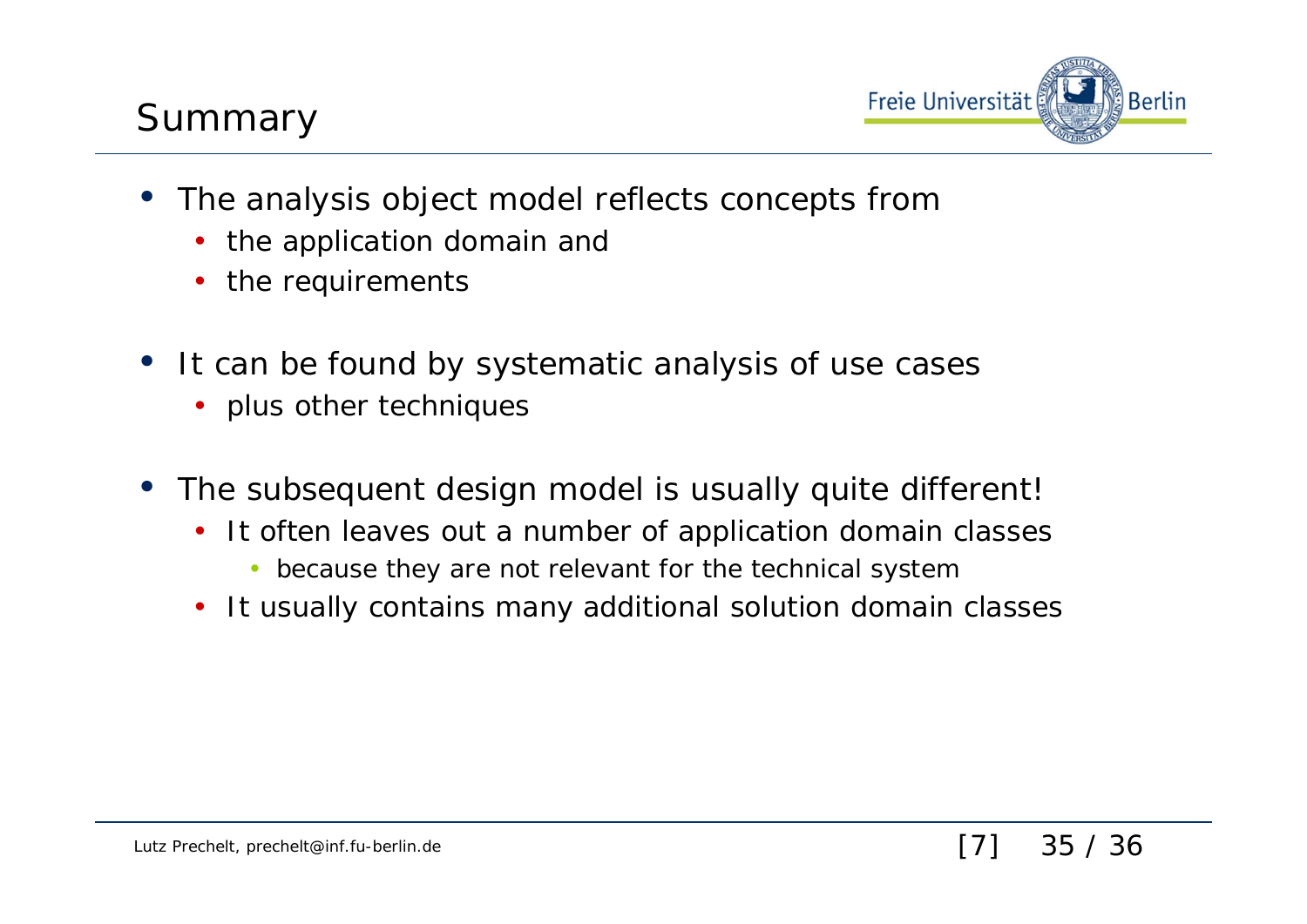

- • The analysis object model reflects concepts from
	- the application domain and
	- the requirements
- • It can be found by systematic analysis of use cases
	- plus other techniques
- The subsequent design model is usually quite different
	- It often leaves out a number of application domain classes
		- $\bullet$ because they are not relevant for the technical system
	- It usually contains many additional solution domain classes